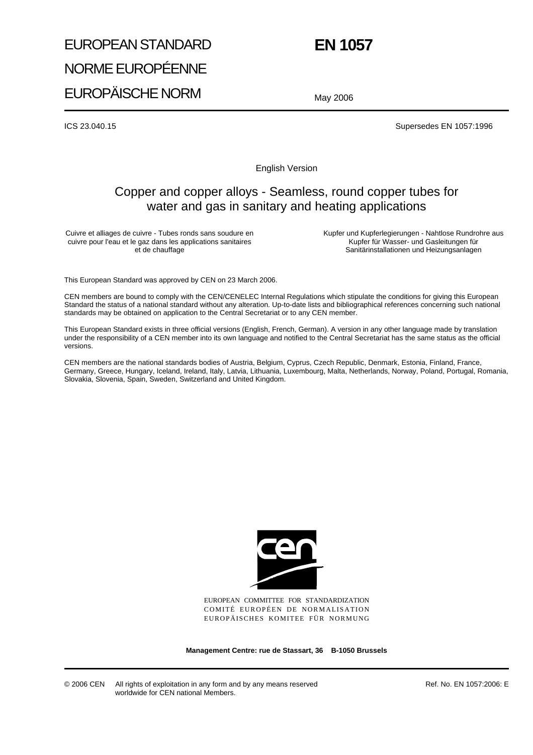# EUROPEAN STANDARD NORME EUROPÉENNE EUROPÄISCHE NORM

# **EN 1057**

May 2006

ICS 23.040.15 Supersedes EN 1057:1996

English Version

# Copper and copper alloys - Seamless, round copper tubes for water and gas in sanitary and heating applications

Cuivre et alliages de cuivre - Tubes ronds sans soudure en cuivre pour l'eau et le gaz dans les applications sanitaires et de chauffage

Kupfer und Kupferlegierungen - Nahtlose Rundrohre aus Kupfer für Wasser- und Gasleitungen für Sanitärinstallationen und Heizungsanlagen

This European Standard was approved by CEN on 23 March 2006.

CEN members are bound to comply with the CEN/CENELEC Internal Regulations which stipulate the conditions for giving this European Standard the status of a national standard without any alteration. Up-to-date lists and bibliographical references concerning such national standards may be obtained on application to the Central Secretariat or to any CEN member.

This European Standard exists in three official versions (English, French, German). A version in any other language made by translation under the responsibility of a CEN member into its own language and notified to the Central Secretariat has the same status as the official versions.

CEN members are the national standards bodies of Austria, Belgium, Cyprus, Czech Republic, Denmark, Estonia, Finland, France, Germany, Greece, Hungary, Iceland, Ireland, Italy, Latvia, Lithuania, Luxembourg, Malta, Netherlands, Norway, Poland, Portugal, Romania, Slovakia, Slovenia, Spain, Sweden, Switzerland and United Kingdom.



EUROPEAN COMMITTEE FOR STANDARDIZATION COMITÉ EUROPÉEN DE NORMALISATION EUROPÄISCHES KOMITEE FÜR NORMUNG

**Management Centre: rue de Stassart, 36 B-1050 Brussels**

Ref. No. EN 1057:2006: E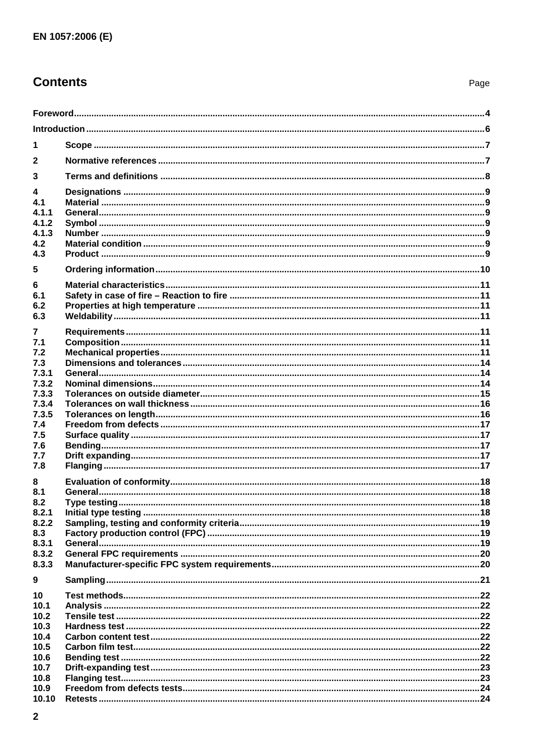# **Contents**

| 1              |  |
|----------------|--|
| $\mathbf{2}$   |  |
| 3              |  |
|                |  |
| 4.1            |  |
| 4.1.1          |  |
| 4.1.2          |  |
| 4.1.3          |  |
| 4.2            |  |
| 4.3            |  |
| 5              |  |
| 6              |  |
| 6.1            |  |
| 6.2            |  |
| 6.3            |  |
| $\overline{7}$ |  |
| 7.1            |  |
| 7.2            |  |
| 7.3            |  |
| 7.3.1          |  |
| 7.3.2          |  |
| 7.3.3          |  |
| 7.3.4          |  |
| 7.3.5          |  |
| 7.4<br>7.5     |  |
| 7.6            |  |
| 7.7            |  |
| 7.8            |  |
|                |  |
| 8<br>8.1       |  |
| 8.2            |  |
| 8.2.1          |  |
| 8.2.2          |  |
| 8.3            |  |
| 8.3.1          |  |
| 8.3.2          |  |
| 8.3.3          |  |
| 9              |  |
| 10             |  |
| 10.1           |  |
| 10.2           |  |
| 10.3           |  |
| 10.4           |  |
| 10.5           |  |
| 10.6           |  |
| 10.7           |  |
| 10.8           |  |
| 10.9<br>10.10  |  |
|                |  |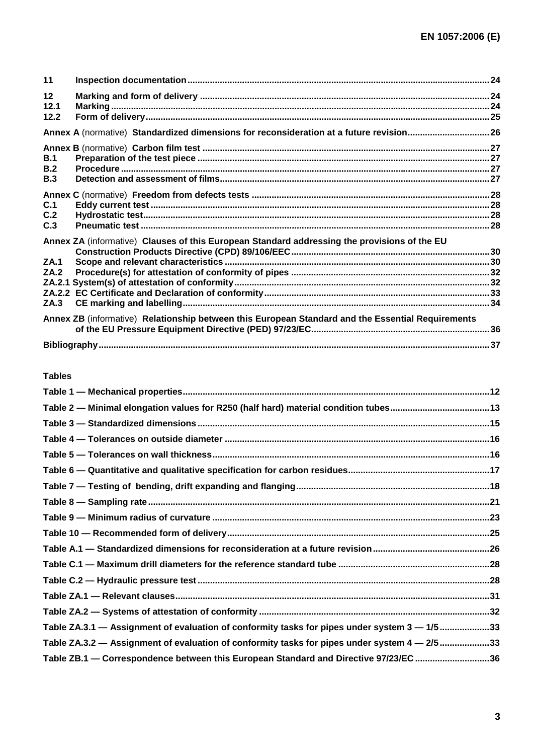| 11                   |                                                                                                   |  |
|----------------------|---------------------------------------------------------------------------------------------------|--|
| 12<br>12.1<br>12.2   |                                                                                                   |  |
|                      | Annex A (normative) Standardized dimensions for reconsideration at a future revision26            |  |
| B.1<br>B.2<br>B.3    |                                                                                                   |  |
| C.1<br>C.2<br>C.3    |                                                                                                   |  |
| ZA.1<br>ZA.2<br>ZA.3 | Annex ZA (informative) Clauses of this European Standard addressing the provisions of the EU      |  |
|                      | Annex ZB (informative) Relationship between this European Standard and the Essential Requirements |  |
|                      |                                                                                                   |  |

#### **Tables**

| Table 2 - Minimal elongation values for R250 (half hard) material condition tubes13           |  |
|-----------------------------------------------------------------------------------------------|--|
|                                                                                               |  |
|                                                                                               |  |
|                                                                                               |  |
|                                                                                               |  |
|                                                                                               |  |
|                                                                                               |  |
|                                                                                               |  |
|                                                                                               |  |
|                                                                                               |  |
|                                                                                               |  |
|                                                                                               |  |
|                                                                                               |  |
|                                                                                               |  |
| Table ZA.3.1 - Assignment of evaluation of conformity tasks for pipes under system 3 - 1/5 33 |  |
| Table ZA.3.2 - Assignment of evaluation of conformity tasks for pipes under system 4 - 2/5 33 |  |
| Table ZB.1 - Correspondence between this European Standard and Directive 97/23/EC 36          |  |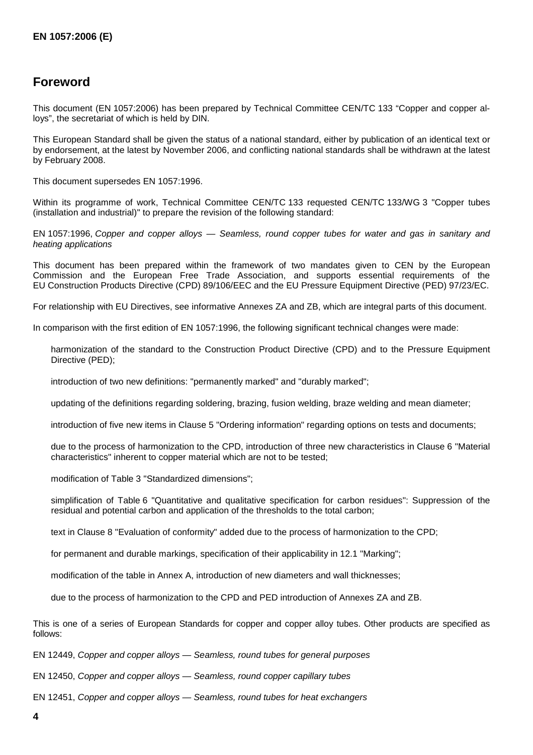# **Foreword**

This document (EN 1057:2006) has been prepared by Technical Committee CEN/TC 133 "Copper and copper alloys", the secretariat of which is held by DIN.

This European Standard shall be given the status of a national standard, either by publication of an identical text or by endorsement, at the latest by November 2006, and conflicting national standards shall be withdrawn at the latest by February 2008.

This document supersedes EN 1057:1996.

Within its programme of work, Technical Committee CEN/TC 133 requested CEN/TC 133/WG 3 "Copper tubes (installation and industrial)" to prepare the revision of the following standard:

EN 1057:1996, *Copper and copper alloys — Seamless, round copper tubes for water and gas in sanitary and heating applications*

This document has been prepared within the framework of two mandates given to CEN by the European Commission and the European Free Trade Association, and supports essential requirements of the EU Construction Products Directive (CPD) 89/106/EEC and the EU Pressure Equipment Directive (PED) 97/23/EC.

For relationship with EU Directives, see informative Annexes ZA and ZB, which are integral parts of this document.

In comparison with the first edition of EN 1057:1996, the following significant technical changes were made:

- harmonization of the standard to the Construction Product Directive (CPD) and to the Pressure Equipment Directive (PED);
- introduction of two new definitions: "permanently marked" and "durably marked":
- updating of the definitions regarding soldering, brazing, fusion welding, braze welding and mean diameter;
- introduction of five new items in Clause 5 "Ordering information" regarding options on tests and documents;
- due to the process of harmonization to the CPD, introduction of three new characteristics in Clause 6 "Material characteristics" inherent to copper material which are not to be tested;
- modification of Table 3 "Standardized dimensions";
- simplification of Table 6 "Quantitative and qualitative specification for carbon residues": Suppression of the residual and potential carbon and application of the thresholds to the total carbon;
- text in Clause 8 "Evaluation of conformity" added due to the process of harmonization to the CPD;
- for permanent and durable markings, specification of their applicability in 12.1 "Marking";
- modification of the table in Annex A, introduction of new diameters and wall thicknesses;
- due to the process of harmonization to the CPD and PED introduction of Annexes ZA and ZB.

This is one of a series of European Standards for copper and copper alloy tubes. Other products are specified as follows:

EN 12449, *Copper and copper alloys — Seamless, round tubes for general purposes*

EN 12450, *Copper and copper alloys — Seamless, round copper capillary tubes*

EN 12451, *Copper and copper alloys — Seamless, round tubes for heat exchangers*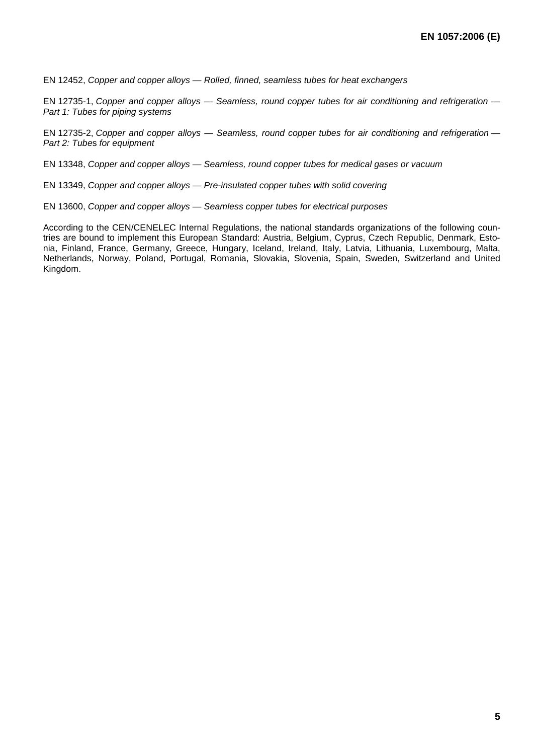EN 12452, *Copper and copper alloys — Rolled, finned, seamless tubes for heat exchangers*

EN 12735-1, *Copper and copper alloys — Seamless, round copper tubes for air conditioning and refrigeration — Part 1: Tubes for piping systems*

EN 12735-2, *Copper and copper alloys — Seamless, round copper tubes for air conditioning and refrigeration — Part 2: Tube*s *for equipment*

EN 13348, *Copper and copper alloys — Seamless, round copper tubes for medical gases or vacuum*

EN 13349, *Copper and copper alloys — Pre-insulated copper tubes with solid covering*

EN 13600, *Copper and copper alloys — Seamless copper tubes for electrical purposes*

According to the CEN/CENELEC Internal Regulations, the national standards organizations of the following countries are bound to implement this European Standard: Austria, Belgium, Cyprus, Czech Republic, Denmark, Estonia, Finland, France, Germany, Greece, Hungary, Iceland, Ireland, Italy, Latvia, Lithuania, Luxembourg, Malta, Netherlands, Norway, Poland, Portugal, Romania, Slovakia, Slovenia, Spain, Sweden, Switzerland and United Kingdom.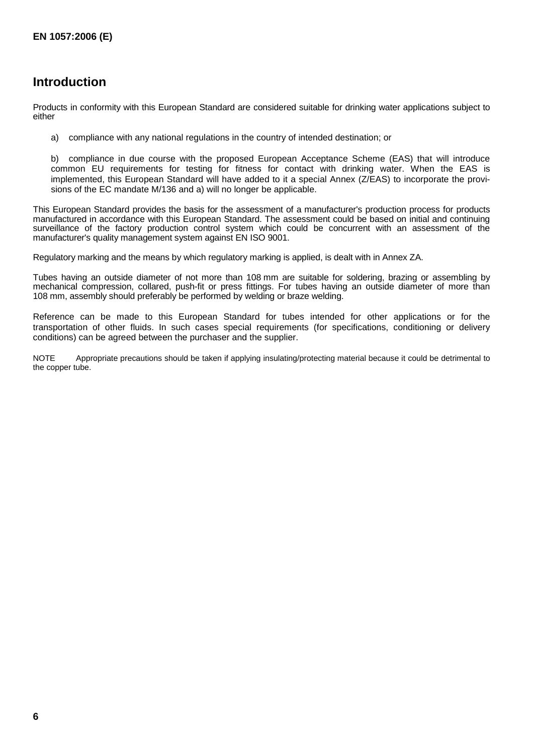# **Introduction**

Products in conformity with this European Standard are considered suitable for drinking water applications subject to either

a) compliance with any national regulations in the country of intended destination; or

b) compliance in due course with the proposed European Acceptance Scheme (EAS) that will introduce common EU requirements for testing for fitness for contact with drinking water. When the EAS is implemented, this European Standard will have added to it a special Annex (Z/EAS) to incorporate the provisions of the EC mandate M/136 and a) will no longer be applicable.

This European Standard provides the basis for the assessment of a manufacturer's production process for products manufactured in accordance with this European Standard. The assessment could be based on initial and continuing surveillance of the factory production control system which could be concurrent with an assessment of the manufacturer's quality management system against EN ISO 9001.

Regulatory marking and the means by which regulatory marking is applied, is dealt with in Annex ZA.

Tubes having an outside diameter of not more than 108 mm are suitable for soldering, brazing or assembling by mechanical compression, collared, push-fit or press fittings. For tubes having an outside diameter of more than 108 mm, assembly should preferably be performed by welding or braze welding.

Reference can be made to this European Standard for tubes intended for other applications or for the transportation of other fluids. In such cases special requirements (for specifications, conditioning or delivery conditions) can be agreed between the purchaser and the supplier.

NOTE Appropriate precautions should be taken if applying insulating/protecting material because it could be detrimental to the copper tube.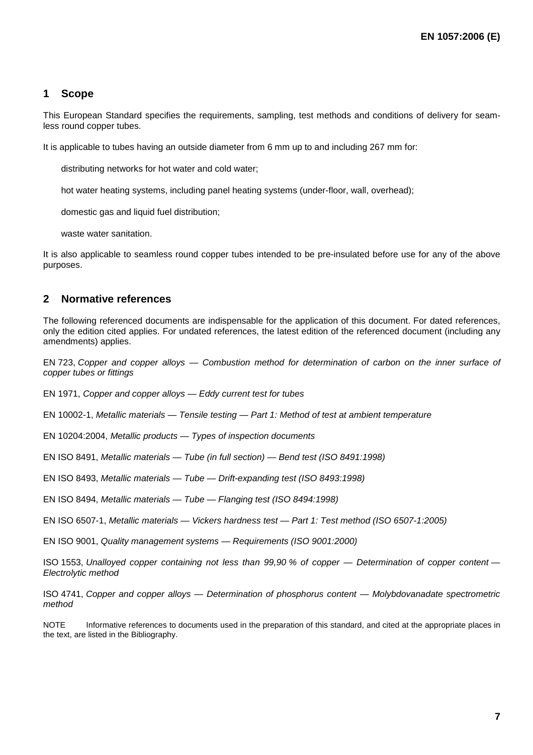## **1 Scope**

This European Standard specifies the requirements, sampling, test methods and conditions of delivery for seamless round copper tubes.

It is applicable to tubes having an outside diameter from 6 mm up to and including 267 mm for:

- distributing networks for hot water and cold water;
- hot water heating systems, including panel heating systems (under-floor, wall, overhead);
- domestic gas and liquid fuel distribution:
- waste water sanitation.

It is also applicable to seamless round copper tubes intended to be pre-insulated before use for any of the above purposes.

## **2 Normative references**

The following referenced documents are indispensable for the application of this document. For dated references, only the edition cited applies. For undated references, the latest edition of the referenced document (including any amendments) applies.

EN 723, *Copper and copper alloys — Combustion method for determination of carbon on the inner surface of copper tubes or fittings*

EN 1971, *Copper and copper alloys — Eddy current test for tubes*

EN 10002-1, *Metallic materials — Tensile testing — Part 1: Method of test at ambient temperature*

EN 10204:2004, *Metallic products — Types of inspection documents*

EN ISO 8491, *Metallic materials — Tube (in full section) — Bend test (ISO 8491:1998)*

EN ISO 8493, *Metallic materials — Tube — Drift-expanding test (ISO 8493:1998)*

EN ISO 8494, *Metallic materials — Tube — Flanging test (ISO 8494:1998)*

EN ISO 6507-1, *Metallic materials — Vickers hardness test — Part 1: Test method (ISO 6507-1:2005)*

EN ISO 9001, *Quality management systems — Requirements (ISO 9001:2000)* 

ISO 1553, *Unalloyed copper containing not less than 99,90 % of copper — Determination of copper content — Electrolytic method*

ISO 4741, *Copper and copper alloys — Determination of phosphorus content — Molybdovanadate spectrometric method* 

NOTE Informative references to documents used in the preparation of this standard, and cited at the appropriate places in the text, are listed in the Bibliography.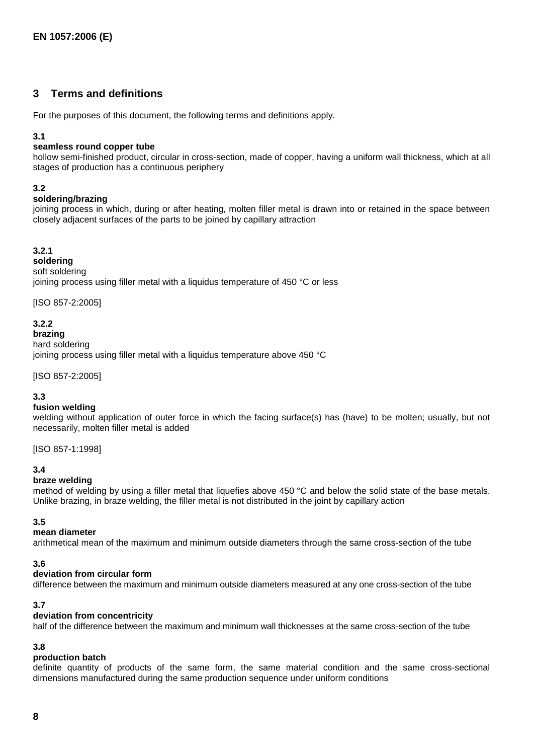## **3 Terms and definitions**

For the purposes of this document, the following terms and definitions apply.

#### **3.1**

#### **seamless round copper tube**

hollow semi-finished product, circular in cross-section, made of copper, having a uniform wall thickness, which at all stages of production has a continuous periphery

#### **3.2**

#### **soldering/brazing**

joining process in which, during or after heating, molten filler metal is drawn into or retained in the space between closely adjacent surfaces of the parts to be joined by capillary attraction

#### **3.2.1**

**soldering** soft soldering joining process using filler metal with a liquidus temperature of 450 °C or less

[ISO 857-2:2005]

#### **3.2.2**

**brazing**  hard soldering joining process using filler metal with a liquidus temperature above 450 °C

[ISO 857-2:2005]

#### **3.3**

#### **fusion welding**

welding without application of outer force in which the facing surface(s) has (have) to be molten; usually, but not necessarily, molten filler metal is added

[ISO 857-1:1998]

#### **3.4**

#### **braze welding**

method of welding by using a filler metal that liquefies above 450 °C and below the solid state of the base metals. Unlike brazing, in braze welding, the filler metal is not distributed in the joint by capillary action

#### **3.5**

#### **mean diameter**

arithmetical mean of the maximum and minimum outside diameters through the same cross-section of the tube

#### **3.6**

#### **deviation from circular form**

difference between the maximum and minimum outside diameters measured at any one cross-section of the tube

## **3.7**

## **deviation from concentricity**

half of the difference between the maximum and minimum wall thicknesses at the same cross-section of the tube

#### **3.8**

#### **production batch**

definite quantity of products of the same form, the same material condition and the same cross-sectional dimensions manufactured during the same production sequence under uniform conditions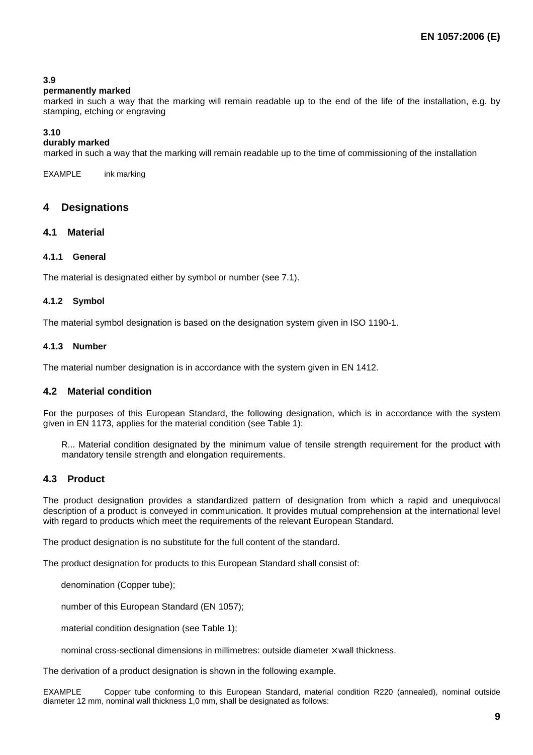### **3.9**

#### **permanently marked**

marked in such a way that the marking will remain readable up to the end of the life of the installation, e.g. by stamping, etching or engraving

#### **3.10**

#### **durably marked**

marked in such a way that the marking will remain readable up to the time of commissioning of the installation

EXAMPLE ink marking

#### **4 Designations**

#### **4.1 Material**

#### **4.1.1 General**

The material is designated either by symbol or number (see 7.1).

#### **4.1.2 Symbol**

The material symbol designation is based on the designation system given in ISO 1190-1.

#### **4.1.3 Number**

The material number designation is in accordance with the system given in EN 1412.

### **4.2 Material condition**

For the purposes of this European Standard, the following designation, which is in accordance with the system given in EN 1173, applies for the material condition (see Table 1):

R... Material condition designated by the minimum value of tensile strength requirement for the product with mandatory tensile strength and elongation requirements.

#### **4.3 Product**

The product designation provides a standardized pattern of designation from which a rapid and unequivocal description of a product is conveyed in communication. It provides mutual comprehension at the international level with regard to products which meet the requirements of the relevant European Standard.

The product designation is no substitute for the full content of the standard.

The product designation for products to this European Standard shall consist of:

- denomination (Copper tube);
- number of this European Standard [\(EN 1057](http://lador.ru/cu/));
- material condition designation (see Table 1):
- nominal cross-sectional dimensions in millimetres: outside diameter  $\times$  wall thickness.

The derivation of a product designation is shown in the following example.

diameter 12 mm, nominal wall thickness 1,0 mm, shall be designated as follows: EXAMPLE [Copper tube](http://lador.ru/cu/) conforming to this European Standard, material condition R220 (annealed), nominal outside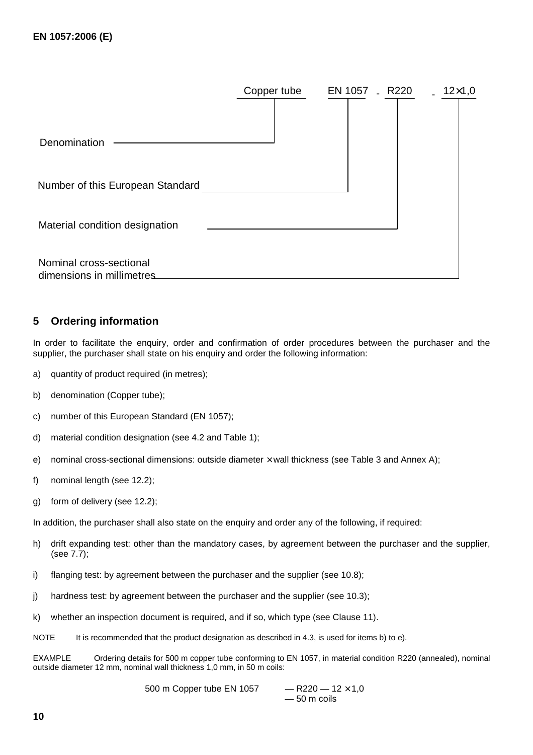|                                                      | Copper tube | EN 1057 - R220 | $12\times1,0$<br>$\mathbf{r}$ |
|------------------------------------------------------|-------------|----------------|-------------------------------|
| Denomination                                         |             |                |                               |
| Number of this European Standard                     |             |                |                               |
| Material condition designation                       |             |                |                               |
| Nominal cross-sectional<br>dimensions in millimetres |             |                |                               |

## **5 Ordering information**

In order to facilitate the enquiry, order and confirmation of order procedures between the purchaser and the supplier, the purchaser shall state on his enquiry and order the following information:

- a) quantity of product required (in metres);
- b) denomination (Copper tube);
- c) number of this European Standard (EN 1057);
- d) material condition designation (see 4.2 and Table 1);
- e) nominal cross-sectional dimensions: outside diameter  $\times$  wall thickness (see Table 3 and Annex A);
- f) nominal length (see 12.2);
- g) form of delivery (see 12.2);

In addition, the purchaser shall also state on the enquiry and order any of the following, if required:

- h) drift expanding test: other than the mandatory cases, by agreement between the purchaser and the supplier, (see 7.7);
- i) flanging test: by agreement between the purchaser and the supplier (see 10.8);
- j) hardness test: by agreement between the purchaser and the supplier (see 10.3);
- k) whether an inspection document is required, and if so, which type (see Clause 11).
- NOTE It is recommended that the product designation as described in 4.3, is used for items b) to e).

EXAMPLE Ordering details for 500 m copper tube conforming to EN 1057, in material condition R220 (annealed), nominal outside diameter 12 mm, nominal wall thickness 1,0 mm, in 50 m coils:

> 500 m Copper tube EN 1057  $-$  R220  $-$  12  $\times$  1,0 — 50 m coils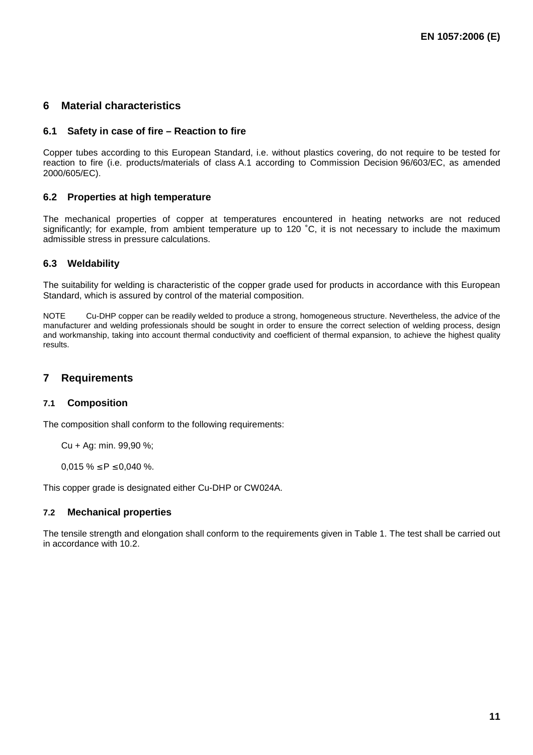## **6 Material characteristics**

#### **6.1 Safety in case of fire – Reaction to fire**

Copper tubes according to this European Standard, i.e. without plastics covering, do not require to be tested for reaction to fire (i.e. products/materials of class A.1 according to Commission Decision 96/603/EC, as amended 2000/605/EC).

#### **6.2 Properties at high temperature**

The mechanical properties of copper at temperatures encountered in heating networks are not reduced significantly; for example, from ambient temperature up to 120 ˚C, it is not necessary to include the maximum admissible stress in pressure calculations.

#### **6.3 Weldability**

The suitability for welding is characteristic of the copper grade used for products in accordance with this European Standard, which is assured by control of the material composition.

NOTE Cu-DHP copper can be readily welded to produce a strong, homogeneous structure. Nevertheless, the advice of the manufacturer and welding professionals should be sought in order to ensure the correct selection of welding process, design and workmanship, taking into account thermal conductivity and coefficient of thermal expansion, to achieve the highest quality results.

## **7 Requirements**

#### **7.1 Composition**

The composition shall conform to the following requirements:

Cu + Ag: min. 99,90 %;

 $0.015 \% \le P \le 0.040 \%$ .

This copper grade is designated either Cu-DHP or CW024A.

#### **7.2 Mechanical properties**

The tensile strength and elongation shall conform to the requirements given in Table 1. The test shall be carried out in accordance with 10.2.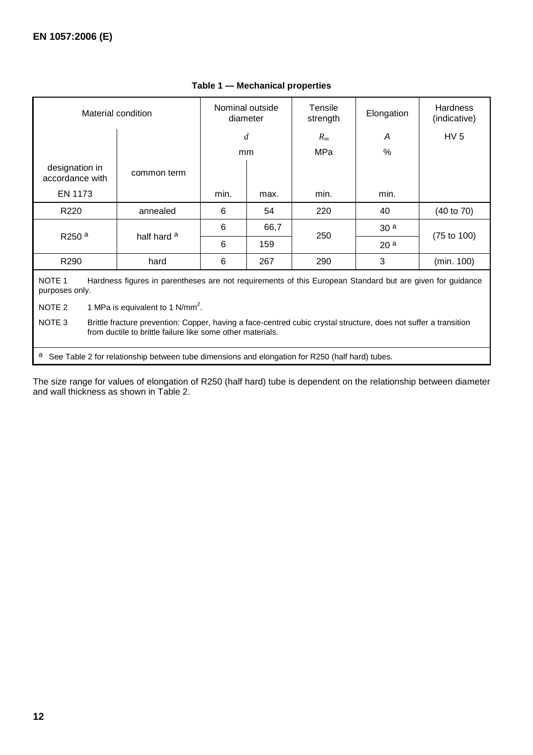| Material condition                                                                                                                                                                       |                        | Nominal outside<br>diameter |      | <b>Tensile</b><br>strength | Elongation      | <b>Hardness</b><br>(indicative) |
|------------------------------------------------------------------------------------------------------------------------------------------------------------------------------------------|------------------------|-----------------------------|------|----------------------------|-----------------|---------------------------------|
|                                                                                                                                                                                          |                        |                             | d    |                            | A               | HV <sub>5</sub>                 |
|                                                                                                                                                                                          |                        |                             | mm   | MPa                        | %               |                                 |
| designation in<br>accordance with                                                                                                                                                        | common term            |                             |      |                            |                 |                                 |
| EN 1173                                                                                                                                                                                  |                        | min.                        | max. | min.                       | min.            |                                 |
| R <sub>220</sub>                                                                                                                                                                         | annealed               | 6                           | 54   | 220                        | 40              | $(40 \text{ to } 70)$           |
|                                                                                                                                                                                          | half hard <sup>a</sup> | 6                           | 66,7 | 250                        | 30 <sup>a</sup> |                                 |
| R <sub>250</sub> <sup>a</sup>                                                                                                                                                            |                        | 6                           | 159  |                            | 20 <sup>a</sup> | $(75 \text{ to } 100)$          |
| R290                                                                                                                                                                                     | hard                   | 6                           | 267  | 290                        | 3               | (min. 100)                      |
| NOTE <sub>1</sub><br>Hardness figures in parentheses are not requirements of this European Standard but are given for guidance<br>purposes only.                                         |                        |                             |      |                            |                 |                                 |
| 1 MPa is equivalent to 1 N/mm <sup>2</sup> .<br>NOTE 2                                                                                                                                   |                        |                             |      |                            |                 |                                 |
| NOTE 3<br>Brittle fracture prevention: Copper, having a face-centred cubic crystal structure, does not suffer a transition<br>from ductile to brittle failure like some other materials. |                        |                             |      |                            |                 |                                 |

## **Table 1 — Mechanical properties**

a See Table 2 for relationship between tube dimensions and elongation for R250 (half hard) tubes.

The size range for values of elongation of R250 (half hard) tube is dependent on the relationship between diameter and wall thickness as shown in Table 2.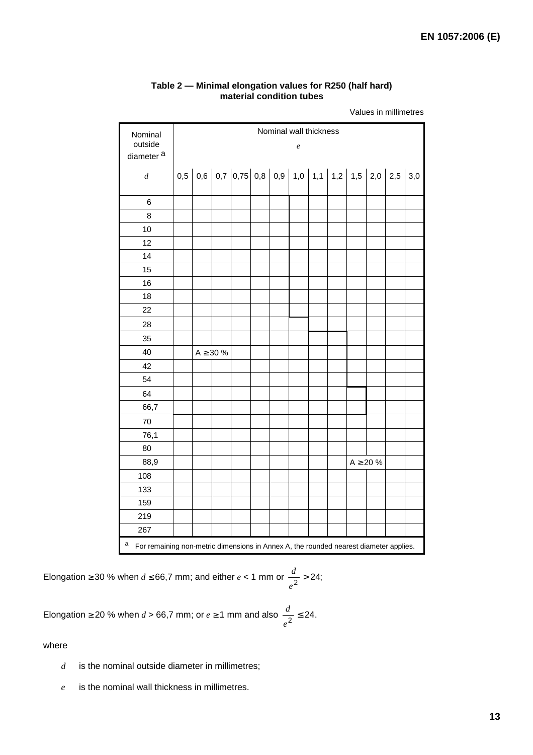| Nominal<br>outside    | Nominal wall thickness<br>$\boldsymbol{e}$                                            |  |                |                                                      |  |  |  |  |                |  |
|-----------------------|---------------------------------------------------------------------------------------|--|----------------|------------------------------------------------------|--|--|--|--|----------------|--|
| diameter <sup>a</sup> |                                                                                       |  |                |                                                      |  |  |  |  |                |  |
| $\boldsymbol{d}$      |                                                                                       |  |                | 0,5 0,6 0,7 0,75 0,8 0,9 1,0 1,1 1,2 1,5 2,0 2,5 3,0 |  |  |  |  |                |  |
| $\,6$                 |                                                                                       |  |                |                                                      |  |  |  |  |                |  |
| 8                     |                                                                                       |  |                |                                                      |  |  |  |  |                |  |
| 10                    |                                                                                       |  |                |                                                      |  |  |  |  |                |  |
| 12                    |                                                                                       |  |                |                                                      |  |  |  |  |                |  |
| 14                    |                                                                                       |  |                |                                                      |  |  |  |  |                |  |
| 15                    |                                                                                       |  |                |                                                      |  |  |  |  |                |  |
| 16                    |                                                                                       |  |                |                                                      |  |  |  |  |                |  |
| 18                    |                                                                                       |  |                |                                                      |  |  |  |  |                |  |
| 22                    |                                                                                       |  |                |                                                      |  |  |  |  |                |  |
| 28                    |                                                                                       |  |                |                                                      |  |  |  |  |                |  |
| 35                    |                                                                                       |  |                |                                                      |  |  |  |  |                |  |
| 40                    |                                                                                       |  | $A \geq 30 \%$ |                                                      |  |  |  |  |                |  |
| 42                    |                                                                                       |  |                |                                                      |  |  |  |  |                |  |
| 54                    |                                                                                       |  |                |                                                      |  |  |  |  |                |  |
| 64                    |                                                                                       |  |                |                                                      |  |  |  |  |                |  |
| 66,7                  |                                                                                       |  |                |                                                      |  |  |  |  |                |  |
| 70                    |                                                                                       |  |                |                                                      |  |  |  |  |                |  |
| 76,1                  |                                                                                       |  |                |                                                      |  |  |  |  |                |  |
| 80                    |                                                                                       |  |                |                                                      |  |  |  |  |                |  |
| 88,9                  |                                                                                       |  |                |                                                      |  |  |  |  | $A \geq 20 \%$ |  |
| 108                   |                                                                                       |  |                |                                                      |  |  |  |  |                |  |
| 133                   |                                                                                       |  |                |                                                      |  |  |  |  |                |  |
| 159                   |                                                                                       |  |                |                                                      |  |  |  |  |                |  |
| 219                   |                                                                                       |  |                |                                                      |  |  |  |  |                |  |
| 267                   |                                                                                       |  |                |                                                      |  |  |  |  |                |  |
| а                     | For remaining non-metric dimensions in Annex A, the rounded nearest diameter applies. |  |                |                                                      |  |  |  |  |                |  |

#### **Table 2 — Minimal elongation values for R250 (half hard) material condition tubes**

Values in millimetres

Elongation ≥ 30 % when  $d \le 66.7$  mm; and either  $e < 1$  mm or  $\frac{a}{a^2} > 24$ ; *e d*

Elongation ≥ 20 % when  $d > 66,7$  mm; or  $e \ge 1$  mm and also  $\frac{a}{a^2} \le 24$ . *e d*

where

- *d* is the nominal outside diameter in millimetres;
- *e* is the nominal wall thickness in millimetres.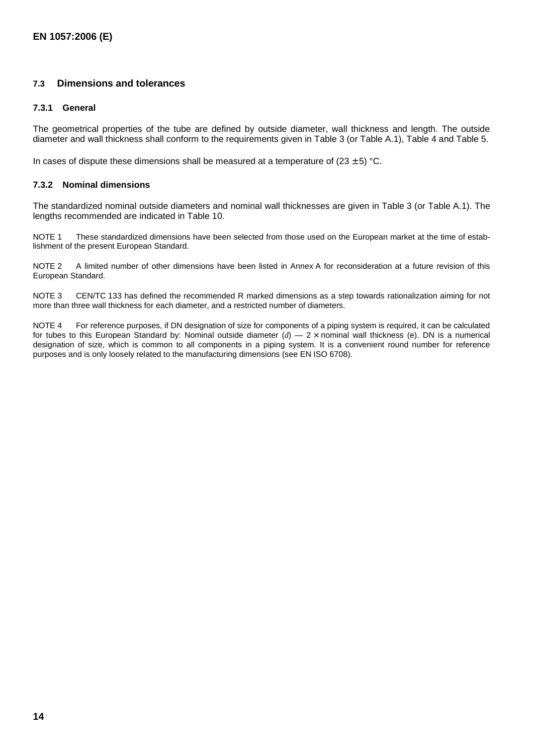#### **7.3 Dimensions and tolerances**

#### **7.3.1 General**

The geometrical properties of the tube are defined by outside diameter, wall thickness and length. The outside diameter and wall thickness shall conform to the requirements given in Table 3 (or Table A.1), Table 4 and Table 5.

In cases of dispute these dimensions shall be measured at a temperature of  $(23 \pm 5)$  °C.

#### **7.3.2 Nominal dimensions**

The standardized nominal outside diameters and nominal wall thicknesses are given in Table 3 (or Table A.1). The lengths recommended are indicated in Table 10.

NOTE 1 These standardized dimensions have been selected from those used on the European market at the time of establishment of the present European Standard.

NOTE 2 A limited number of other dimensions have been listed in Annex A for reconsideration at a future revision of this European Standard.

NOTE 3 CEN/TC 133 has defined the recommended R marked dimensions as a step towards rationalization aiming for not more than three wall thickness for each diameter, and a restricted number of diameters.

NOTE 4 For reference purposes, if DN designation of size for components of a piping system is required, it can be calculated for tubes to this European Standard by: Nominal outside diameter (*d*) — 2 × nominal wall thickness (e). DN is a numerical designation of size, which is common to all components in a piping system. It is a convenient round number for reference purposes and is only loosely related to the manufacturing dimensions (see EN ISO 6708).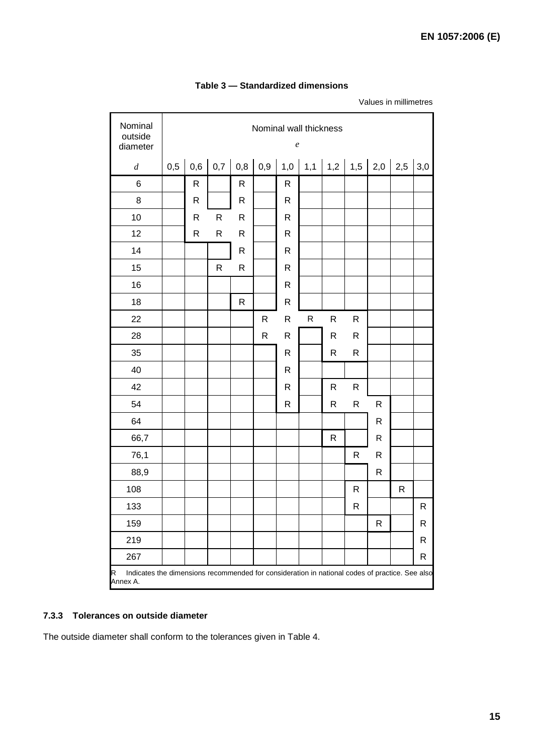| Nominal<br>outside<br>diameter                                                                                  |     | Nominal wall thickness<br>$\boldsymbol{e}$ |             |              |              |              |                       |              |              |              |              |     |
|-----------------------------------------------------------------------------------------------------------------|-----|--------------------------------------------|-------------|--------------|--------------|--------------|-----------------------|--------------|--------------|--------------|--------------|-----|
| $\boldsymbol{d}$                                                                                                | 0,5 | 0,6                                        | 0,7         | 0,8          | 0,9          | 1,0          | 1,1   1,2   1,5   2,0 |              |              |              | 2,5          | 3,0 |
| $\,6$                                                                                                           |     | $\mathsf{R}$                               |             | R            |              | $\mathsf{R}$ |                       |              |              |              |              |     |
| 8                                                                                                               |     | R                                          |             | R            |              | $\mathsf{R}$ |                       |              |              |              |              |     |
| 10                                                                                                              |     | $\mathsf{R}$                               | R           | $\mathsf{R}$ |              | $\mathsf{R}$ |                       |              |              |              |              |     |
| 12                                                                                                              |     | $\mathsf{R}$                               | R           | $\mathsf{R}$ |              | $\mathsf{R}$ |                       |              |              |              |              |     |
| 14                                                                                                              |     |                                            |             | R            |              | $\mathsf{R}$ |                       |              |              |              |              |     |
| 15                                                                                                              |     |                                            | $\mathsf R$ | R            |              | R            |                       |              |              |              |              |     |
| 16                                                                                                              |     |                                            |             |              |              | $\mathsf{R}$ |                       |              |              |              |              |     |
| 18                                                                                                              |     |                                            |             | R            |              | R            |                       |              |              |              |              |     |
| 22                                                                                                              |     |                                            |             |              | ${\sf R}$    | R            | ${\sf R}$             | ${\sf R}$    | $\mathsf{R}$ |              |              |     |
| 28                                                                                                              |     |                                            |             |              | $\mathsf{R}$ | ${\sf R}$    |                       | $\mathsf{R}$ | $\mathsf{R}$ |              |              |     |
| 35                                                                                                              |     |                                            |             |              |              | $\mathsf{R}$ |                       | $\mathsf{R}$ | $\mathsf{R}$ |              |              |     |
| 40                                                                                                              |     |                                            |             |              |              | R            |                       |              |              |              |              |     |
| 42                                                                                                              |     |                                            |             |              |              | $\mathsf{R}$ |                       | $\mathsf{R}$ | $\mathsf{R}$ |              |              |     |
| 54                                                                                                              |     |                                            |             |              |              | $\mathsf{R}$ |                       | $\mathsf{R}$ | $\mathsf{R}$ | $\mathsf{R}$ |              |     |
| 64                                                                                                              |     |                                            |             |              |              |              |                       |              |              | $\mathsf R$  |              |     |
| 66,7                                                                                                            |     |                                            |             |              |              |              |                       | $\mathsf{R}$ |              | $\mathsf R$  |              |     |
| 76,1                                                                                                            |     |                                            |             |              |              |              |                       |              | $\mathsf{R}$ | R            |              |     |
| 88,9                                                                                                            |     |                                            |             |              |              |              |                       |              |              | R            |              |     |
| 108                                                                                                             |     |                                            |             |              |              |              |                       |              | $\mathsf{R}$ |              | $\mathsf{R}$ |     |
| 133                                                                                                             |     |                                            |             |              |              |              |                       |              | R            |              |              | R   |
| 159                                                                                                             |     |                                            |             |              |              |              |                       |              |              | R            |              | R   |
| 219                                                                                                             |     |                                            |             |              |              |              |                       |              |              |              |              | R   |
| 267                                                                                                             |     |                                            |             |              |              |              |                       |              |              |              |              | R   |
| Indicates the dimensions recommended for consideration in national codes of practice. See also<br>R<br>Annex A. |     |                                            |             |              |              |              |                       |              |              |              |              |     |

## **Table 3 — Standardized dimensions**

Values in millimetres

## **7.3.3 Tolerances on outside diameter**

The outside diameter shall conform to the tolerances given in Table 4.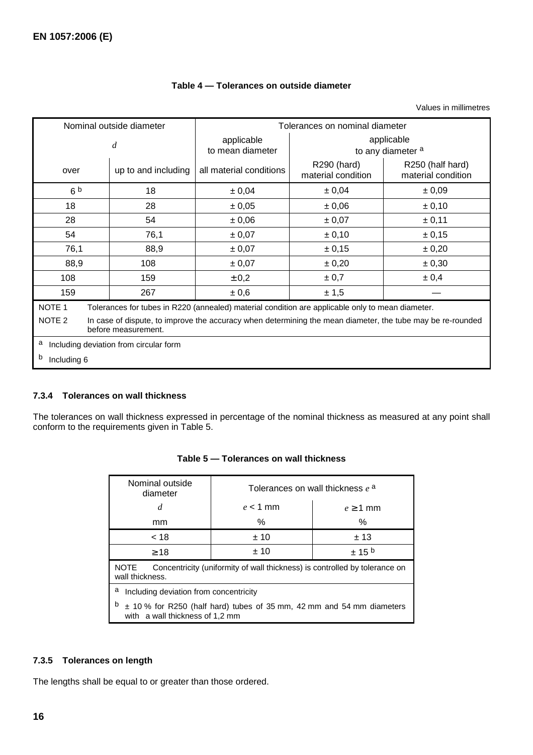|                                                                                                                                                        | Nominal outside diameter | Tolerances on nominal diameter                                                                   |                                   |                                        |  |  |
|--------------------------------------------------------------------------------------------------------------------------------------------------------|--------------------------|--------------------------------------------------------------------------------------------------|-----------------------------------|----------------------------------------|--|--|
|                                                                                                                                                        | d                        | applicable<br>to mean diameter                                                                   | applicable<br>to any diameter a   |                                        |  |  |
| over                                                                                                                                                   | up to and including      | all material conditions                                                                          | R290 (hard)<br>material condition | R250 (half hard)<br>material condition |  |  |
| 6 <sup>b</sup>                                                                                                                                         | 18                       | ± 0,04                                                                                           | ± 0,04                            | ± 0,09                                 |  |  |
| 18                                                                                                                                                     | 28                       | ± 0,05                                                                                           | ± 0,06                            | ± 0,10                                 |  |  |
| 28                                                                                                                                                     | 54                       | ± 0,06                                                                                           | ± 0,07                            | ± 0,11                                 |  |  |
| 54                                                                                                                                                     | 76,1                     | ± 0,07<br>± 0,10                                                                                 |                                   | ± 0,15                                 |  |  |
| 76,1                                                                                                                                                   | 88,9                     | ± 0,07<br>± 0,15                                                                                 |                                   | ± 0,20                                 |  |  |
| 88,9                                                                                                                                                   | 108                      | ± 0,07                                                                                           | ± 0,20                            | ± 0,30                                 |  |  |
| 108                                                                                                                                                    | 159                      | ± 0,2                                                                                            | ± 0,7                             | ± 0,4                                  |  |  |
| 159                                                                                                                                                    | 267                      | ± 0,6                                                                                            | ± 1,5                             |                                        |  |  |
| NOTE <sub>1</sub>                                                                                                                                      |                          | Tolerances for tubes in R220 (annealed) material condition are applicable only to mean diameter. |                                   |                                        |  |  |
| NOTE <sub>2</sub><br>In case of dispute, to improve the accuracy when determining the mean diameter, the tube may be re-rounded<br>before measurement. |                          |                                                                                                  |                                   |                                        |  |  |
| а<br>Including deviation from circular form                                                                                                            |                          |                                                                                                  |                                   |                                        |  |  |
| b<br>Including 6                                                                                                                                       |                          |                                                                                                  |                                   |                                        |  |  |

## **Table 4 — Tolerances on outside diameter**

Values in millimetres

## **7.3.4 Tolerances on wall thickness**

The tolerances on wall thickness expressed in percentage of the nominal thickness as measured at any point shall conform to the requirements given in Table 5.

| Nominal outside<br>diameter                                                                                       | Tolerances on wall thickness $e^{a}$ |            |  |  |  |
|-------------------------------------------------------------------------------------------------------------------|--------------------------------------|------------|--|--|--|
| d                                                                                                                 | $e < 1$ mm                           | $e > 1$ mm |  |  |  |
| mm                                                                                                                | %                                    | ℅          |  |  |  |
| < 18                                                                                                              | ±10                                  | ±13        |  |  |  |
| $\geq 18$                                                                                                         | ±10                                  | $± 15^{b}$ |  |  |  |
| Concentricity (uniformity of wall thickness) is controlled by tolerance on<br><b>NOTE</b><br>wall thickness.      |                                      |            |  |  |  |
| a<br>Including deviation from concentricity                                                                       |                                      |            |  |  |  |
| b<br>$\pm$ 10 % for R250 (half hard) tubes of 35 mm, 42 mm and 54 mm diameters<br>with a wall thickness of 1,2 mm |                                      |            |  |  |  |

## **Table 5 — Tolerances on wall thickness**

## **7.3.5 Tolerances on length**

The lengths shall be equal to or greater than those ordered.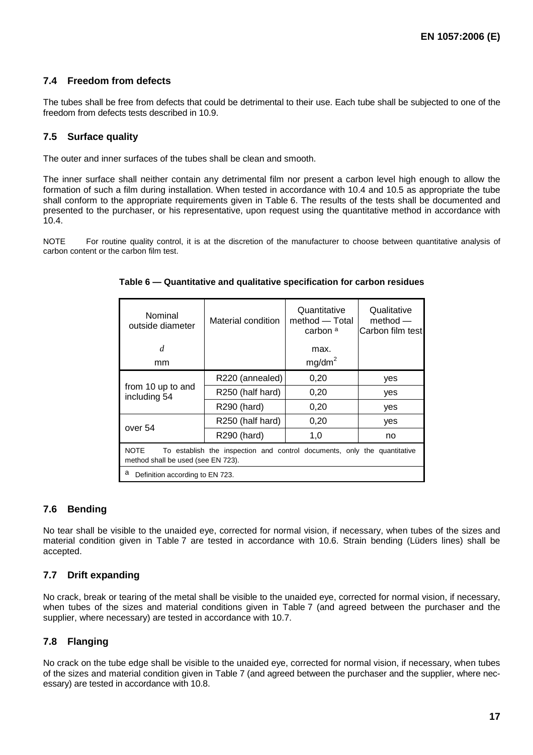## **7.4 Freedom from defects**

The tubes shall be free from defects that could be detrimental to their use. Each tube shall be subjected to one of the freedom from defects tests described in 10.9.

## **7.5 Surface quality**

The outer and inner surfaces of the tubes shall be clean and smooth.

The inner surface shall neither contain any detrimental film nor present a carbon level high enough to allow the formation of such a film during installation. When tested in accordance with 10.4 and 10.5 as appropriate the tube shall conform to the appropriate requirements given in Table 6. The results of the tests shall be documented and presented to the purchaser, or his representative, upon request using the quantitative method in accordance with 10.4.

NOTE For routine quality control, it is at the discretion of the manufacturer to choose between quantitative analysis of carbon content or the carbon film test.

| Nominal<br>outside diameter                                                                                                   | Material condition | Quantitative<br>method — Total<br>carbon a | Qualitative<br>$method -$<br>Carbon film test |  |
|-------------------------------------------------------------------------------------------------------------------------------|--------------------|--------------------------------------------|-----------------------------------------------|--|
| $\overline{d}$                                                                                                                |                    | max.                                       |                                               |  |
| mm                                                                                                                            |                    | mg/dm <sup>2</sup>                         |                                               |  |
|                                                                                                                               | R220 (annealed)    | 0,20                                       | yes                                           |  |
| from 10 up to and<br>including 54                                                                                             | R250 (half hard)   | 0,20                                       | yes                                           |  |
|                                                                                                                               | R290 (hard)        | 0,20                                       | yes                                           |  |
| over 54                                                                                                                       | R250 (half hard)   | 0,20                                       | yes                                           |  |
|                                                                                                                               | R290 (hard)        | 1,0                                        | no                                            |  |
| <b>NOTE</b><br>To establish the inspection and control documents, only the quantitative<br>method shall be used (see EN 723). |                    |                                            |                                               |  |
| a<br>Definition according to EN 723.                                                                                          |                    |                                            |                                               |  |

#### **Table 6 — Quantitative and qualitative specification for carbon residues**

## **7.6 Bending**

No tear shall be visible to the unaided eye, corrected for normal vision, if necessary, when tubes of the sizes and material condition given in Table 7 are tested in accordance with 10.6. Strain bending (Lüders lines) shall be accepted.

## **7.7 Drift expanding**

No crack, break or tearing of the metal shall be visible to the unaided eye, corrected for normal vision, if necessary, when tubes of the sizes and material conditions given in Table 7 (and agreed between the purchaser and the supplier, where necessary) are tested in accordance with 10.7.

## **7.8 Flanging**

No crack on the tube edge shall be visible to the unaided eye, corrected for normal vision, if necessary, when tubes of the sizes and material condition given in Table 7 (and agreed between the purchaser and the supplier, where necessary) are tested in accordance with 10.8.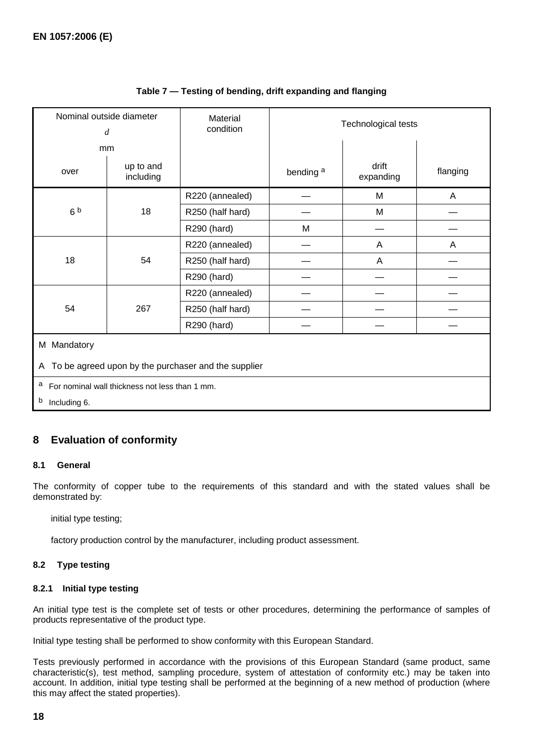| Nominal outside diameter<br>$\boldsymbol{d}$             |                        | Material<br>condition | Technological tests  |                           |                           |
|----------------------------------------------------------|------------------------|-----------------------|----------------------|---------------------------|---------------------------|
|                                                          | mm                     |                       |                      |                           |                           |
| over                                                     | up to and<br>including |                       | bending <sup>a</sup> | drift<br>expanding        | flanging                  |
|                                                          |                        | R220 (annealed)       |                      | M                         | A                         |
| 6 <sup>b</sup>                                           | 18                     | R250 (half hard)      |                      | M                         |                           |
|                                                          |                        | R290 (hard)           | M                    |                           |                           |
|                                                          |                        | R220 (annealed)       |                      | $\boldsymbol{\mathsf{A}}$ | $\boldsymbol{\mathsf{A}}$ |
| 18                                                       | 54                     | R250 (half hard)      |                      | A                         |                           |
|                                                          |                        | R290 (hard)           |                      |                           |                           |
|                                                          |                        | R220 (annealed)       |                      |                           |                           |
| 54                                                       | 267                    | R250 (half hard)      |                      |                           |                           |
|                                                          |                        | R290 (hard)           |                      |                           |                           |
| M Mandatory                                              |                        |                       |                      |                           |                           |
| To be agreed upon by the purchaser and the supplier<br>A |                        |                       |                      |                           |                           |

## **Table 7 — Testing of bending, drift expanding and flanging**

a For nominal wall thickness not less than 1 mm.

b Including 6.

## **8 Evaluation of conformity**

#### **8.1 General**

The conformity of copper tube to the requirements of this standard and with the stated values shall be demonstrated by:

- initial type testing;
- factory production control by the manufacturer, including product assessment.

#### **8.2 Type testing**

#### **8.2.1 Initial type testing**

An initial type test is the complete set of tests or other procedures, determining the performance of samples of products representative of the product type.

Initial type testing shall be performed to show conformity with this European Standard.

Tests previously performed in accordance with the provisions of this European Standard (same product, same characteristic(s), test method, sampling procedure, system of attestation of conformity etc.) may be taken into account. In addition, initial type testing shall be performed at the beginning of a new method of production (where this may affect the stated properties).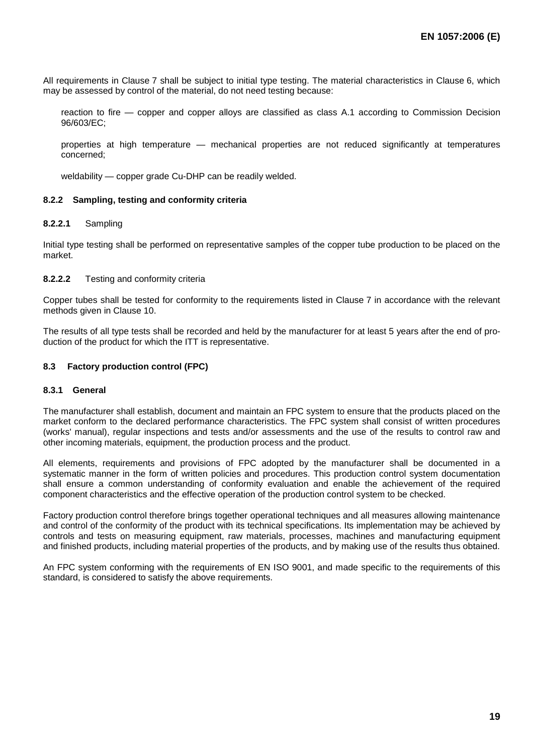All requirements in Clause 7 shall be subject to initial type testing. The material characteristics in Clause 6, which may be assessed by control of the material, do not need testing because:

- reaction to fire copper and copper alloys are classified as class A.1 according to Commission Decision 96/603/EC;
- properties at high temperature mechanical properties are not reduced significantly at temperatures concerned;
- weldability copper grade Cu-DHP can be readily welded.

#### **8.2.2 Sampling, testing and conformity criteria**

#### **8.2.2.1** Sampling

Initial type testing shall be performed on representative samples of the copper tube production to be placed on the market.

#### **8.2.2.2** Testing and conformity criteria

Copper tubes shall be tested for conformity to the requirements listed in Clause 7 in accordance with the relevant methods given in Clause 10.

The results of all type tests shall be recorded and held by the manufacturer for at least 5 years after the end of production of the product for which the ITT is representative.

#### **8.3 Factory production control (FPC)**

#### **8.3.1 General**

The manufacturer shall establish, document and maintain an FPC system to ensure that the products placed on the market conform to the declared performance characteristics. The FPC system shall consist of written procedures (works' manual), regular inspections and tests and/or assessments and the use of the results to control raw and other incoming materials, equipment, the production process and the product.

All elements, requirements and provisions of FPC adopted by the manufacturer shall be documented in a systematic manner in the form of written policies and procedures. This production control system documentation shall ensure a common understanding of conformity evaluation and enable the achievement of the required component characteristics and the effective operation of the production control system to be checked.

Factory production control therefore brings together operational techniques and all measures allowing maintenance and control of the conformity of the product with its technical specifications. Its implementation may be achieved by controls and tests on measuring equipment, raw materials, processes, machines and manufacturing equipment and finished products, including material properties of the products, and by making use of the results thus obtained.

An FPC system conforming with the requirements of EN ISO 9001, and made specific to the requirements of this standard, is considered to satisfy the above requirements.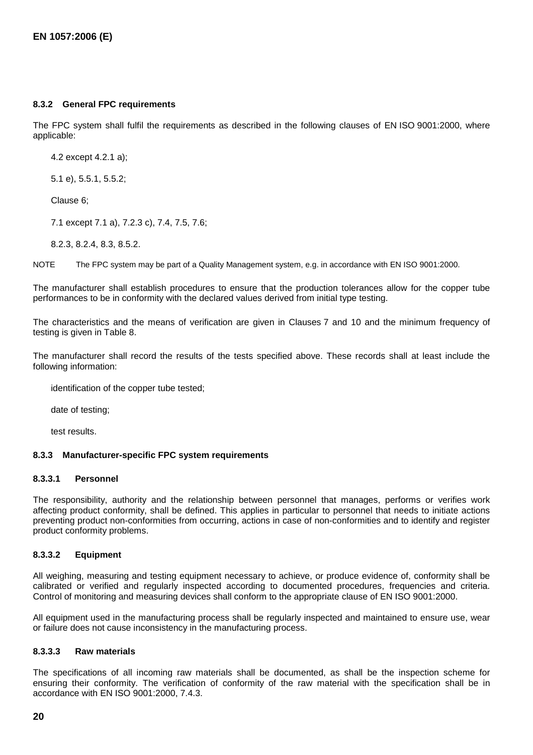#### **8.3.2 General FPC requirements**

The FPC system shall fulfil the requirements as described in the following clauses of EN ISO 9001:2000, where applicable:

- 4.2 except 4.2.1 a);
- 5.1 e), 5.5.1, 5.5.2;
- Clause 6:
- 7.1 except 7.1 a), 7.2.3 c), 7.4, 7.5, 7.6;
- 8.2.3, 8.2.4, 8.3, 8.5.2.

NOTE The FPC system may be part of a Quality Management system, e.g. in accordance with EN ISO 9001:2000.

The manufacturer shall establish procedures to ensure that the production tolerances allow for the copper tube performances to be in conformity with the declared values derived from initial type testing.

The characteristics and the means of verification are given in Clauses 7 and 10 and the minimum frequency of testing is given in Table 8.

The manufacturer shall record the results of the tests specified above. These records shall at least include the following information:

- identification of the copper tube tested;
- date of testing;
- test results.

#### **8.3.3 Manufacturer-specific FPC system requirements**

#### **8.3.3.1 Personnel**

The responsibility, authority and the relationship between personnel that manages, performs or verifies work affecting product conformity, shall be defined. This applies in particular to personnel that needs to initiate actions preventing product non-conformities from occurring, actions in case of non-conformities and to identify and register product conformity problems.

#### **8.3.3.2 Equipment**

All weighing, measuring and testing equipment necessary to achieve, or produce evidence of, conformity shall be calibrated or verified and regularly inspected according to documented procedures, frequencies and criteria. Control of monitoring and measuring devices shall conform to the appropriate clause of EN ISO 9001:2000.

All equipment used in the manufacturing process shall be regularly inspected and maintained to ensure use, wear or failure does not cause inconsistency in the manufacturing process.

#### **8.3.3.3 Raw materials**

The specifications of all incoming raw materials shall be documented, as shall be the inspection scheme for ensuring their conformity. The verification of conformity of the raw material with the specification shall be in accordance with EN ISO 9001:2000, 7.4.3.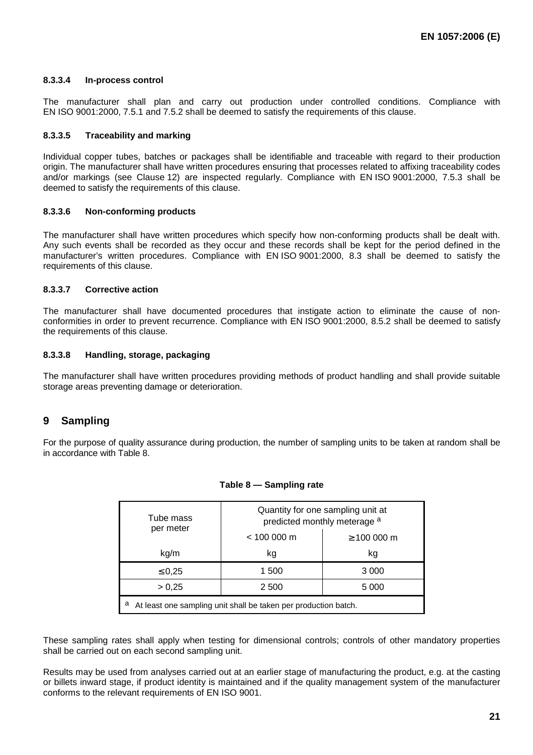#### **8.3.3.4 In-process control**

The manufacturer shall plan and carry out production under controlled conditions. Compliance with EN ISO 9001:2000, 7.5.1 and 7.5.2 shall be deemed to satisfy the requirements of this clause.

#### **8.3.3.5 Traceability and marking**

Individual copper tubes, batches or packages shall be identifiable and traceable with regard to their production origin. The manufacturer shall have written procedures ensuring that processes related to affixing traceability codes and/or markings (see Clause 12) are inspected regularly. Compliance with EN ISO 9001:2000, 7.5.3 shall be deemed to satisfy the requirements of this clause.

#### **8.3.3.6 Non-conforming products**

The manufacturer shall have written procedures which specify how non-conforming products shall be dealt with. Any such events shall be recorded as they occur and these records shall be kept for the period defined in the manufacturer's written procedures. Compliance with EN ISO 9001:2000, 8.3 shall be deemed to satisfy the requirements of this clause.

#### **8.3.3.7 Corrective action**

The manufacturer shall have documented procedures that instigate action to eliminate the cause of nonconformities in order to prevent recurrence. Compliance with EN ISO 9001:2000, 8.5.2 shall be deemed to satisfy the requirements of this clause.

#### **8.3.3.8 Handling, storage, packaging**

The manufacturer shall have written procedures providing methods of product handling and shall provide suitable storage areas preventing damage or deterioration.

## **9 Sampling**

For the purpose of quality assurance during production, the number of sampling units to be taken at random shall be in accordance with Table 8.

| Tube mass                                                            | Quantity for one sampling unit at<br>predicted monthly meterage a |                 |  |  |  |
|----------------------------------------------------------------------|-------------------------------------------------------------------|-----------------|--|--|--|
| per meter                                                            | $< 100000$ m                                                      | $\geq 100000$ m |  |  |  |
| kg/m                                                                 | kg                                                                | kg              |  |  |  |
| $\leq 0,25$                                                          | 1 500                                                             | 3 0 0 0         |  |  |  |
| > 0,25                                                               | 2 500                                                             | 5 000           |  |  |  |
| а<br>At least one sampling unit shall be taken per production batch. |                                                                   |                 |  |  |  |

#### **Table 8 — Sampling rate**

These sampling rates shall apply when testing for dimensional controls; controls of other mandatory properties shall be carried out on each second sampling unit.

Results may be used from analyses carried out at an earlier stage of manufacturing the product, e.g. at the casting or billets inward stage, if product identity is maintained and if the quality management system of the manufacturer conforms to the relevant requirements of EN ISO 9001.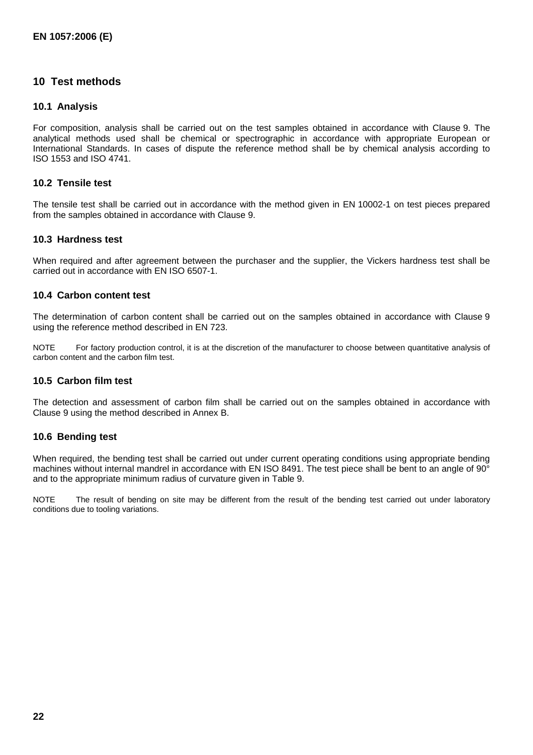## **10 Test methods**

#### **10.1 Analysis**

For composition, analysis shall be carried out on the test samples obtained in accordance with Clause 9. The analytical methods used shall be chemical or spectrographic in accordance with appropriate European or International Standards. In cases of dispute the reference method shall be by chemical analysis according to ISO 1553 and ISO 4741.

#### **10.2 Tensile test**

The tensile test shall be carried out in accordance with the method given in EN 10002-1 on test pieces prepared from the samples obtained in accordance with Clause 9.

#### **10.3 Hardness test**

When required and after agreement between the purchaser and the supplier, the Vickers hardness test shall be carried out in accordance with EN ISO 6507-1.

#### **10.4 Carbon content test**

The determination of carbon content shall be carried out on the samples obtained in accordance with Clause 9 using the reference method described in EN 723.

NOTE For factory production control, it is at the discretion of the manufacturer to choose between quantitative analysis of carbon content and the carbon film test.

#### **10.5 Carbon film test**

The detection and assessment of carbon film shall be carried out on the samples obtained in accordance with Clause 9 using the method described in Annex B.

#### **10.6 Bending test**

When required, the bending test shall be carried out under current operating conditions using appropriate bending machines without internal mandrel in accordance with EN ISO 8491. The test piece shall be bent to an angle of 90° and to the appropriate minimum radius of curvature given in Table 9.

NOTE The result of bending on site may be different from the result of the bending test carried out under laboratory conditions due to tooling variations.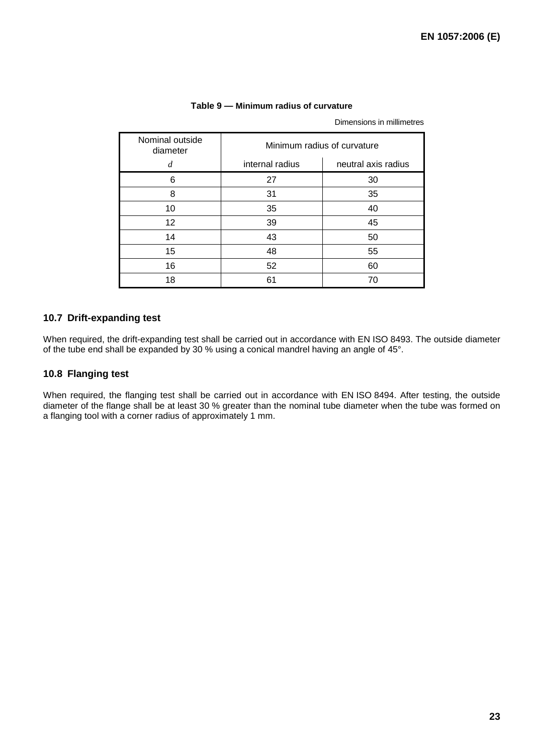| Nominal outside<br>diameter | Minimum radius of curvature |                     |  |  |
|-----------------------------|-----------------------------|---------------------|--|--|
| d                           | internal radius             | neutral axis radius |  |  |
| 6                           | 27                          | 30                  |  |  |
| 8                           | 31                          | 35                  |  |  |
| 10                          | 35                          | 40                  |  |  |
| $12 \overline{ }$           | 39                          | 45                  |  |  |
| 14                          | 43                          | 50                  |  |  |
| 15                          | 48                          | 55                  |  |  |
| 16                          | 52                          | 60                  |  |  |
| 18                          | 61                          | 70                  |  |  |

#### **Table 9 — Minimum radius of curvature**

Dimensions in millimetres

#### **10.7 Drift-expanding test**

When required, the drift-expanding test shall be carried out in accordance with EN ISO 8493. The outside diameter of the tube end shall be expanded by 30 % using a conical mandrel having an angle of 45°.

### **10.8 Flanging test**

When required, the flanging test shall be carried out in accordance with EN ISO 8494. After testing, the outside diameter of the flange shall be at least 30 % greater than the nominal tube diameter when the tube was formed on a flanging tool with a corner radius of approximately 1 mm.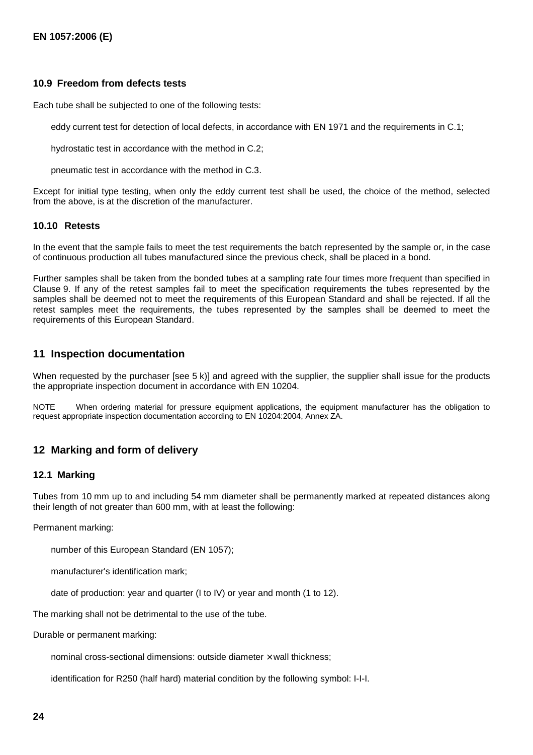#### **10.9 Freedom from defects tests**

Each tube shall be subjected to one of the following tests:

- eddy current test for detection of local defects, in accordance with EN 1971 and the requirements in C.1;
- hydrostatic test in accordance with the method in C.2;
- pneumatic test in accordance with the method in C.3.

Except for initial type testing, when only the eddy current test shall be used, the choice of the method, selected from the above, is at the discretion of the manufacturer.

#### **10.10 Retests**

In the event that the sample fails to meet the test requirements the batch represented by the sample or, in the case of continuous production all tubes manufactured since the previous check, shall be placed in a bond.

Further samples shall be taken from the bonded tubes at a sampling rate four times more frequent than specified in Clause 9. If any of the retest samples fail to meet the specification requirements the tubes represented by the samples shall be deemed not to meet the requirements of this European Standard and shall be rejected. If all the retest samples meet the requirements, the tubes represented by the samples shall be deemed to meet the requirements of this European Standard.

## **11 Inspection documentation**

When requested by the purchaser [see 5 k)] and agreed with the supplier, the supplier shall issue for the products the appropriate inspection document in accordance with EN 10204.

NOTE When ordering material for pressure equipment applications, the equipment manufacturer has the obligation to request appropriate inspection documentation according to EN 10204:2004, Annex ZA.

## **12 Marking and form of delivery**

#### **12.1 Marking**

Tubes from 10 mm up to and including 54 mm diameter shall be permanently marked at repeated distances along their length of not greater than 600 mm, with at least the following:

Permanent marking:

- number of this European Standard (EN 1057);
- manufacturer's identification mark;
- date of production: year and quarter (I to IV) or year and month (1 to 12).

The marking shall not be detrimental to the use of the tube.

Durable or permanent marking:

- nominal cross-sectional dimensions: outside diameter  $\times$  wall thickness;
- identification for R250 (half hard) material condition by the following symbol: I-I-I.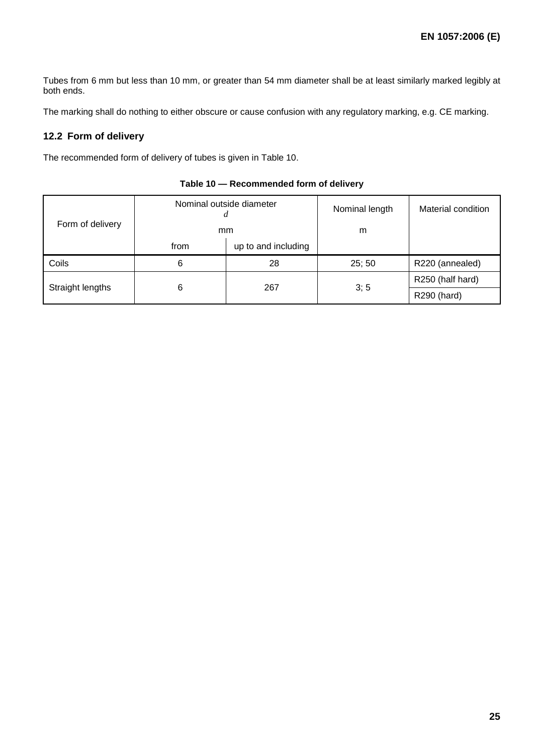Tubes from 6 mm but less than 10 mm, or greater than 54 mm diameter shall be at least similarly marked legibly at both ends.

The marking shall do nothing to either obscure or cause confusion with any regulatory marking, e.g. CE marking.

### **12.2 Form of delivery**

The recommended form of delivery of tubes is given in Table 10.

| Form of delivery |      | Nominal outside diameter<br>mm | Nominal length<br>m | Material condition |
|------------------|------|--------------------------------|---------------------|--------------------|
|                  | from | up to and including            |                     |                    |
| Coils            | 6    | 28                             | 25;50               | R220 (annealed)    |
| Straight lengths |      |                                | 3; 5                | R250 (half hard)   |
|                  |      | 6<br>267                       |                     | R290 (hard)        |

## **Table 10 — Recommended form of delivery**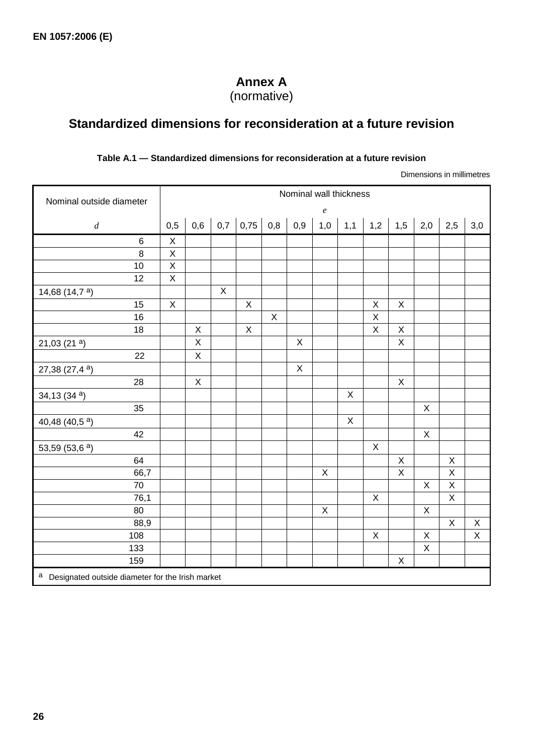# **Annex A**

(normative)

# **Standardized dimensions for reconsideration at a future revision**

## **Table A.1 — Standardized dimensions for reconsideration at a future revision**

Dimensions in millimetres

| Nominal outside diameter                           |              |              |             |             |             |                  | Nominal wall thickness |                |             |                |                |              |                           |
|----------------------------------------------------|--------------|--------------|-------------|-------------|-------------|------------------|------------------------|----------------|-------------|----------------|----------------|--------------|---------------------------|
|                                                    |              |              |             |             |             |                  | $\boldsymbol{e}$       |                |             |                |                |              |                           |
| $\boldsymbol{d}$                                   | 0,5          | 0,6          | 0,7         | 0,75        | 0,8         | $\overline{0,9}$ | 1,0                    | 1,1            | 1,2         | 1,5            | 2,0            | 2,5          | 3,0                       |
| $\,6$                                              | $\mathsf X$  |              |             |             |             |                  |                        |                |             |                |                |              |                           |
| 8                                                  | $\mathsf X$  |              |             |             |             |                  |                        |                |             |                |                |              |                           |
| 10                                                 | $\mathsf X$  |              |             |             |             |                  |                        |                |             |                |                |              |                           |
| 12                                                 | $\mathsf X$  |              |             |             |             |                  |                        |                |             |                |                |              |                           |
| 14,68 $(14,7a)$                                    |              |              | $\mathsf X$ |             |             |                  |                        |                |             |                |                |              |                           |
| 15                                                 | $\mathsf{X}$ |              |             | $\mathsf X$ |             |                  |                        |                | $\mathsf X$ | $\mathsf X$    |                |              |                           |
| 16                                                 |              |              |             |             | $\mathsf X$ |                  |                        |                | $\sf X$     |                |                |              |                           |
| 18                                                 |              | $\mathsf X$  |             | X           |             |                  |                        |                | $\sf X$     | $\mathsf X$    |                |              |                           |
| 21,03(21a)                                         |              | $\mathsf{X}$ |             |             |             | $\mathsf X$      |                        |                |             | $\mathsf X$    |                |              |                           |
| 22                                                 |              | $\mathsf X$  |             |             |             |                  |                        |                |             |                |                |              |                           |
| 27,38 $(27,4^a)$                                   |              |              |             |             |             | $\pmb{\times}$   |                        |                |             |                |                |              |                           |
| 28                                                 |              | $\mathsf X$  |             |             |             |                  |                        |                |             | $\overline{X}$ |                |              |                           |
| 34,13 $(34a)$                                      |              |              |             |             |             |                  |                        | $\pmb{\times}$ |             |                |                |              |                           |
| 35                                                 |              |              |             |             |             |                  |                        |                |             |                | $\mathsf X$    |              |                           |
| 40,48 (40,5 <sup>a</sup> )                         |              |              |             |             |             |                  |                        | $\mathsf X$    |             |                |                |              |                           |
| 42                                                 |              |              |             |             |             |                  |                        |                |             |                | $\mathsf X$    |              |                           |
| 53,59 (53,6 a)                                     |              |              |             |             |             |                  |                        |                | $\mathsf X$ |                |                |              |                           |
| 64                                                 |              |              |             |             |             |                  |                        |                |             | $\mathsf X$    |                | $\mathsf X$  |                           |
| 66,7                                               |              |              |             |             |             |                  | $\mathsf X$            |                |             | $\mathsf X$    |                | $\mathsf X$  |                           |
| 70                                                 |              |              |             |             |             |                  |                        |                |             |                | X              | $\mathsf X$  |                           |
| 76,1                                               |              |              |             |             |             |                  |                        |                | $\mathsf X$ |                |                | $\mathsf{X}$ |                           |
| 80                                                 |              |              |             |             |             |                  | $\mathsf X$            |                |             |                | X              |              |                           |
| 88,9                                               |              |              |             |             |             |                  |                        |                |             |                |                | $\mathsf X$  | $\boldsymbol{\mathsf{X}}$ |
| 108                                                |              |              |             |             |             |                  |                        |                | $\mathsf X$ |                | $\sf X$        |              | $\pmb{\times}$            |
| 133                                                |              |              |             |             |             |                  |                        |                |             |                | $\overline{X}$ |              |                           |
| 159                                                |              |              |             |             |             |                  |                        |                |             | X              |                |              |                           |
| a Designated outside diameter for the Irish market |              |              |             |             |             |                  |                        |                |             |                |                |              |                           |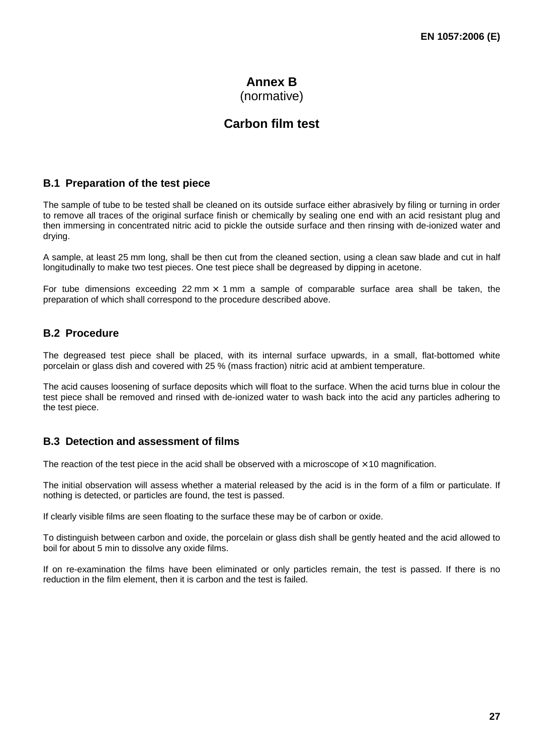# **Annex B**

(normative)

# **Carbon film test**

## **B.1 Preparation of the test piece**

The sample of tube to be tested shall be cleaned on its outside surface either abrasively by filing or turning in order to remove all traces of the original surface finish or chemically by sealing one end with an acid resistant plug and then immersing in concentrated nitric acid to pickle the outside surface and then rinsing with de-ionized water and drying.

A sample, at least 25 mm long, shall be then cut from the cleaned section, using a clean saw blade and cut in half longitudinally to make two test pieces. One test piece shall be degreased by dipping in acetone.

For tube dimensions exceeding 22 mm  $\times$  1 mm a sample of comparable surface area shall be taken, the preparation of which shall correspond to the procedure described above.

## **B.2 Procedure**

The degreased test piece shall be placed, with its internal surface upwards, in a small, flat-bottomed white porcelain or glass dish and covered with 25 % (mass fraction) nitric acid at ambient temperature.

The acid causes loosening of surface deposits which will float to the surface. When the acid turns blue in colour the test piece shall be removed and rinsed with de-ionized water to wash back into the acid any particles adhering to the test piece.

## **B.3 Detection and assessment of films**

The reaction of the test piece in the acid shall be observed with a microscope of  $\times$  10 magnification.

The initial observation will assess whether a material released by the acid is in the form of a film or particulate. If nothing is detected, or particles are found, the test is passed.

If clearly visible films are seen floating to the surface these may be of carbon or oxide.

To distinguish between carbon and oxide, the porcelain or glass dish shall be gently heated and the acid allowed to boil for about 5 min to dissolve any oxide films.

If on re-examination the films have been eliminated or only particles remain, the test is passed. If there is no reduction in the film element, then it is carbon and the test is failed.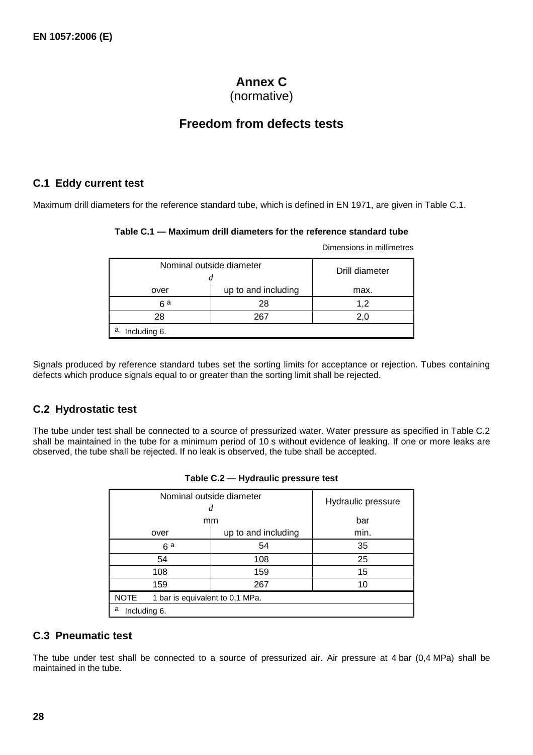# **Annex C**

(normative)

# **Freedom from defects tests**

## **C.1 Eddy current test**

Maximum drill diameters for the reference standard tube, which is defined in EN 1971, are given in Table C.1.

| Table C.1 — Maximum drill diameters for the reference standard tube |  |
|---------------------------------------------------------------------|--|
|---------------------------------------------------------------------|--|

Dimensions in millimetres

| Nominal outside diameter<br>u | Drill diameter      |      |  |  |  |  |
|-------------------------------|---------------------|------|--|--|--|--|
| over                          | up to and including | max. |  |  |  |  |
| 28<br>ն a                     |                     | 1.2  |  |  |  |  |
| 28                            | 20                  |      |  |  |  |  |
| a<br>Including 6.             |                     |      |  |  |  |  |

Signals produced by reference standard tubes set the sorting limits for acceptance or rejection. Tubes containing defects which produce signals equal to or greater than the sorting limit shall be rejected.

## **C.2 Hydrostatic test**

The tube under test shall be connected to a source of pressurized water. Water pressure as specified in Table C.2 shall be maintained in the tube for a minimum period of 10 s without evidence of leaking. If one or more leaks are observed, the tube shall be rejected. If no leak is observed, the tube shall be accepted.

| Nominal outside diameter<br>d                  | Hydraulic pressure |    |  |  |
|------------------------------------------------|--------------------|----|--|--|
| mm                                             | bar                |    |  |  |
| over                                           | min.               |    |  |  |
| 54<br>6a                                       |                    | 35 |  |  |
| 54<br>108                                      |                    | 25 |  |  |
| 108                                            | 15                 |    |  |  |
| 159                                            | 10                 |    |  |  |
| <b>NOTE</b><br>1 bar is equivalent to 0,1 MPa. |                    |    |  |  |
| a<br>Including 6.                              |                    |    |  |  |

|  |  | Table C.2 - Hydraulic pressure test |
|--|--|-------------------------------------|
|--|--|-------------------------------------|

## **C.3 Pneumatic test**

The tube under test shall be connected to a source of pressurized air. Air pressure at 4 bar (0,4 MPa) shall be maintained in the tube.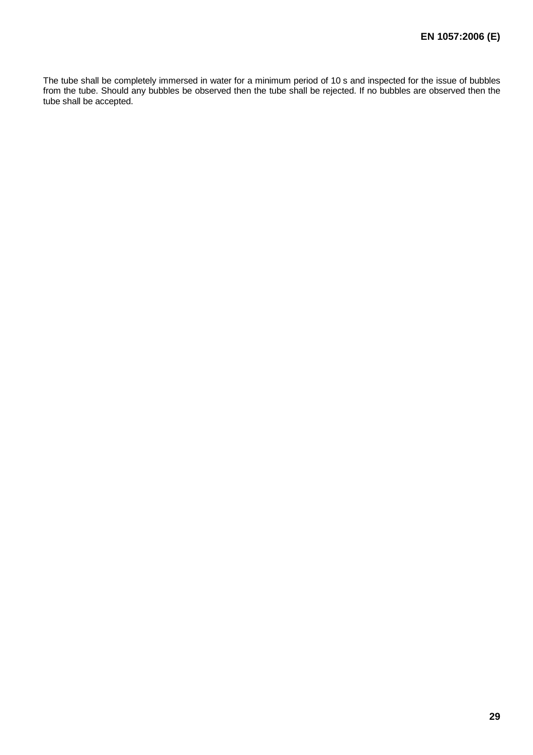The tube shall be completely immersed in water for a minimum period of 10 s and inspected for the issue of bubbles from the tube. Should any bubbles be observed then the tube shall be rejected. If no bubbles are observed then the tube shall be accepted.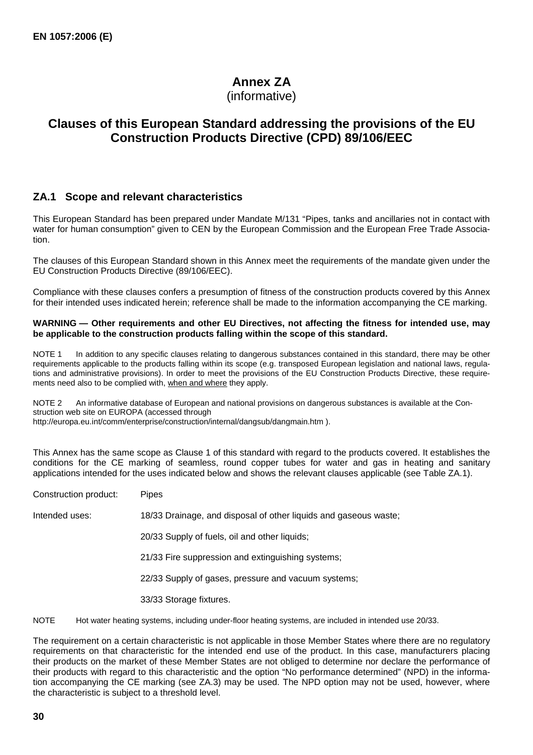# **Annex ZA**

(informative)

# **Clauses of this European Standard addressing the provisions of the EU Construction Products Directive (CPD) 89/106/EEC**

## **ZA.1 Scope and relevant characteristics**

This European Standard has been prepared under Mandate M/131 "Pipes, tanks and ancillaries not in contact with water for human consumption" given to CEN by the European Commission and the European Free Trade Association.

The clauses of this European Standard shown in this Annex meet the requirements of the mandate given under the EU Construction Products Directive (89/106/EEC).

Compliance with these clauses confers a presumption of fitness of the construction products covered by this Annex for their intended uses indicated herein; reference shall be made to the information accompanying the CE marking.

#### **WARNING — Other requirements and other EU Directives, not affecting the fitness for intended use, may be applicable to the construction products falling within the scope of this standard.**

NOTE 1 In addition to any specific clauses relating to dangerous substances contained in this standard, there may be other requirements applicable to the products falling within its scope (e.g. transposed European legislation and national laws, regulations and administrative provisions). In order to meet the provisions of the EU Construction Products Directive, these requirements need also to be complied with, when and where they apply.

NOTE 2 An informative database of European and national provisions on dangerous substances is available at the Construction web site on EUROPA (accessed through

http://europa.eu.int/comm/enterprise/construction/internal/dangsub/dangmain.htm ).

This Annex has the same scope as Clause 1 of this standard with regard to the products covered. It establishes the conditions for the CE marking of seamless, round copper tubes for water and gas in heating and sanitary applications intended for the uses indicated below and shows the relevant clauses applicable (see Table ZA.1).

| Construction product: | <b>Pipes</b>                                                     |
|-----------------------|------------------------------------------------------------------|
| Intended uses:        | 18/33 Drainage, and disposal of other liquids and gaseous waste; |
|                       | 20/33 Supply of fuels, oil and other liquids;                    |
|                       | 21/33 Fire suppression and extinguishing systems;                |
|                       | 22/33 Supply of gases, pressure and vacuum systems;              |
|                       | 33/33 Storage fixtures.                                          |
|                       |                                                                  |

NOTE Hot water heating systems, including under-floor heating systems, are included in intended use 20/33.

The requirement on a certain characteristic is not applicable in those Member States where there are no regulatory requirements on that characteristic for the intended end use of the product. In this case, manufacturers placing their products on the market of these Member States are not obliged to determine nor declare the performance of their products with regard to this characteristic and the option "No performance determined" (NPD) in the information accompanying the CE marking (see ZA.3) may be used. The NPD option may not be used, however, where the characteristic is subject to a threshold level.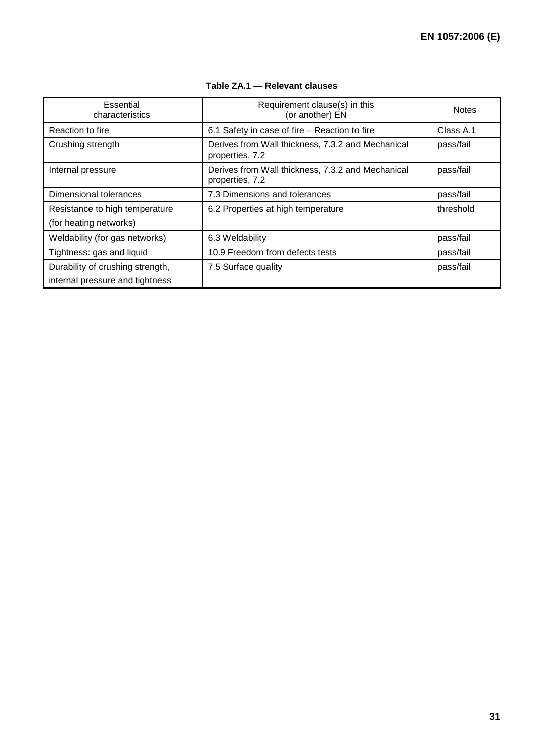| Essential<br>characteristics     | Requirement clause(s) in this<br>(or another) EN                     | <b>Notes</b> |
|----------------------------------|----------------------------------------------------------------------|--------------|
| Reaction to fire                 | 6.1 Safety in case of fire - Reaction to fire                        | Class A.1    |
| Crushing strength                | Derives from Wall thickness, 7.3.2 and Mechanical<br>properties, 7.2 | pass/fail    |
| Internal pressure                | Derives from Wall thickness, 7.3.2 and Mechanical<br>properties, 7.2 | pass/fail    |
| Dimensional tolerances           | 7.3 Dimensions and tolerances                                        | pass/fail    |
| Resistance to high temperature   | 6.2 Properties at high temperature                                   | threshold    |
| (for heating networks)           |                                                                      |              |
| Weldability (for gas networks)   | 6.3 Weldability                                                      | pass/fail    |
| Tightness: gas and liquid        | 10.9 Freedom from defects tests                                      | pass/fail    |
| Durability of crushing strength, | 7.5 Surface quality                                                  | pass/fail    |
| internal pressure and tightness  |                                                                      |              |

## **Table ZA.1 — Relevant clauses**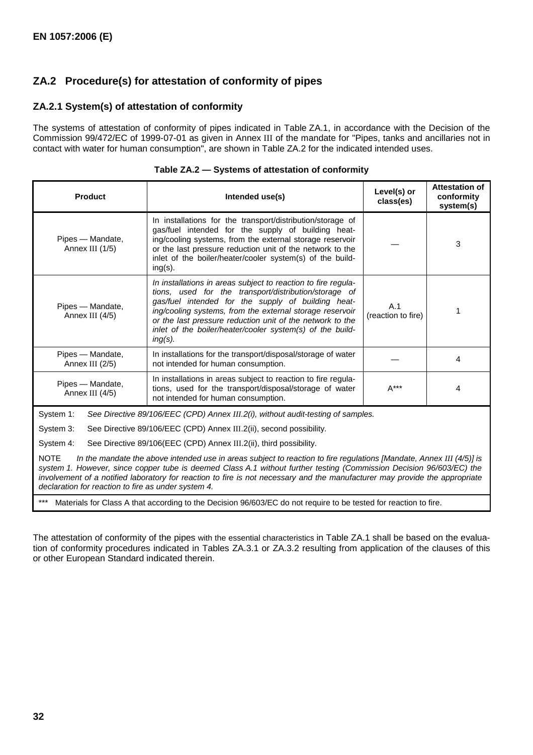## **ZA.2 Procedure(s) for attestation of conformity of pipes**

## **ZA.2.1 System(s) of attestation of conformity**

The systems of attestation of conformity of pipes indicated in Table ZA.1, in accordance with the Decision of the Commission 99/472/EC of 1999-07-01 as given in Annex III of the mandate for "Pipes, tanks and ancillaries not in contact with water for human consumption", are shown in Table ZA.2 for the indicated intended uses.

| <b>Product</b>                                                                                                                                                                                         | Intended use(s)                                                                                                                                                                                                                                                                                                                                                                  | Level(s) or<br>class(es)  | <b>Attestation of</b><br>conformity<br>system(s) |  |  |  |
|--------------------------------------------------------------------------------------------------------------------------------------------------------------------------------------------------------|----------------------------------------------------------------------------------------------------------------------------------------------------------------------------------------------------------------------------------------------------------------------------------------------------------------------------------------------------------------------------------|---------------------------|--------------------------------------------------|--|--|--|
| Pipes - Mandate,<br>Annex III (1/5)                                                                                                                                                                    | In installations for the transport/distribution/storage of<br>gas/fuel intended for the supply of building heat-<br>ing/cooling systems, from the external storage reservoir<br>or the last pressure reduction unit of the network to the<br>inlet of the boiler/heater/cooler system(s) of the build-<br>$ing(s)$ .                                                             |                           | 3                                                |  |  |  |
| Pipes - Mandate,<br>Annex III (4/5)                                                                                                                                                                    | In installations in areas subject to reaction to fire regula-<br>tions, used for the transport/distribution/storage of<br>gas/fuel intended for the supply of building heat-<br>ing/cooling systems, from the external storage reservoir<br>or the last pressure reduction unit of the network to the<br>inlet of the boiler/heater/cooler system(s) of the build-<br>$ing(s)$ . | A.1<br>(reaction to fire) | 1                                                |  |  |  |
| Pipes - Mandate,<br>Annex III (2/5)                                                                                                                                                                    | In installations for the transport/disposal/storage of water<br>not intended for human consumption.                                                                                                                                                                                                                                                                              |                           | 4                                                |  |  |  |
| In installations in areas subject to reaction to fire regula-<br>Pipes - Mandate,<br>tions, used for the transport/disposal/storage of water<br>Annex III (4/5)<br>not intended for human consumption. |                                                                                                                                                                                                                                                                                                                                                                                  | $A***$                    | 4                                                |  |  |  |
| System 1:                                                                                                                                                                                              | See Directive 89/106/EEC (CPD) Annex III.2(i), without audit-testing of samples.                                                                                                                                                                                                                                                                                                 |                           |                                                  |  |  |  |
| System 3:<br>See Directive 89/106/EEC (CPD) Annex III.2(ii), second possibility.                                                                                                                       |                                                                                                                                                                                                                                                                                                                                                                                  |                           |                                                  |  |  |  |
| System 4:<br>See Directive 89/106(EEC (CPD) Annex III.2(ii), third possibility.                                                                                                                        |                                                                                                                                                                                                                                                                                                                                                                                  |                           |                                                  |  |  |  |
| <b>NOTE</b><br>declaration for reaction to fire as under system 4.                                                                                                                                     | In the mandate the above intended use in areas subject to reaction to fire regulations [Mandate, Annex III (4/5)] is<br>system 1. However, since copper tube is deemed Class A.1 without further testing (Commission Decision 96/603/EC) the<br>involvement of a notified laboratory for reaction to fire is not necessary and the manufacturer may provide the appropriate      |                           |                                                  |  |  |  |
| ***                                                                                                                                                                                                    | Materials for Class A that according to the Decision 96/603/EC do not require to be tested for reaction to fire.                                                                                                                                                                                                                                                                 |                           |                                                  |  |  |  |

| Table ZA.2 – Systems of attestation of conformity |  |  |
|---------------------------------------------------|--|--|
|                                                   |  |  |

The attestation of conformity of the pipes with the essential characteristics in Table ZA.1 shall be based on the evaluation of conformity procedures indicated in Tables ZA.3.1 or ZA.3.2 resulting from application of the clauses of this or other European Standard indicated therein.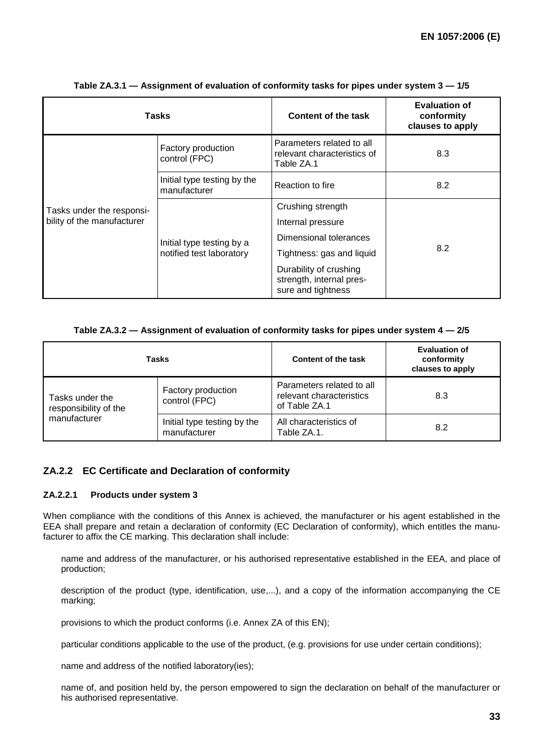| <b>Tasks</b>               |                                                       | Content of the task                                                      | <b>Evaluation of</b><br>conformity<br>clauses to apply |
|----------------------------|-------------------------------------------------------|--------------------------------------------------------------------------|--------------------------------------------------------|
| Tasks under the responsi-  | Factory production<br>control (FPC)                   | Parameters related to all<br>relevant characteristics of<br>Table ZA.1   | 8.3                                                    |
|                            | Initial type testing by the<br>manufacturer           | Reaction to fire                                                         | 8.2                                                    |
|                            |                                                       | Crushing strength                                                        |                                                        |
| bility of the manufacturer | Initial type testing by a<br>notified test laboratory | Internal pressure                                                        |                                                        |
|                            |                                                       | Dimensional tolerances                                                   |                                                        |
|                            |                                                       | Tightness: gas and liquid                                                | 8.2                                                    |
|                            |                                                       | Durability of crushing<br>strength, internal pres-<br>sure and tightness |                                                        |

#### **Table ZA.3.1 — Assignment of evaluation of conformity tasks for pipes under system 3 — 1/5**

#### **Table ZA.3.2 — Assignment of evaluation of conformity tasks for pipes under system 4 — 2/5**

| Tasks                                                    |                                             | Content of the task                                                    | <b>Evaluation of</b><br>conformity<br>clauses to apply |
|----------------------------------------------------------|---------------------------------------------|------------------------------------------------------------------------|--------------------------------------------------------|
| Tasks under the<br>responsibility of the<br>manufacturer | Factory production<br>control (FPC)         | Parameters related to all<br>relevant characteristics<br>of Table ZA.1 | 8.3                                                    |
|                                                          | Initial type testing by the<br>manufacturer | All characteristics of<br>Table ZA.1.                                  | 8.2                                                    |

## **ZA.2.2 EC Certificate and Declaration of conformity**

#### **ZA.2.2.1 Products under system 3**

When compliance with the conditions of this Annex is achieved, the manufacturer or his agent established in the EEA shall prepare and retain a declaration of conformity (EC Declaration of conformity), which entitles the manufacturer to affix the CE marking. This declaration shall include:

- name and address of the manufacturer, or his authorised representative established in the EEA, and place of production;
- description of the product (type, identification, use,...), and a copy of the information accompanying the CE marking;
- provisions to which the product conforms (i.e. Annex ZA of this EN);
- particular conditions applicable to the use of the product, (e.g. provisions for use under certain conditions);
- name and address of the notified laboratory(ies);
- name of, and position held by, the person empowered to sign the declaration on behalf of the manufacturer or his authorised representative.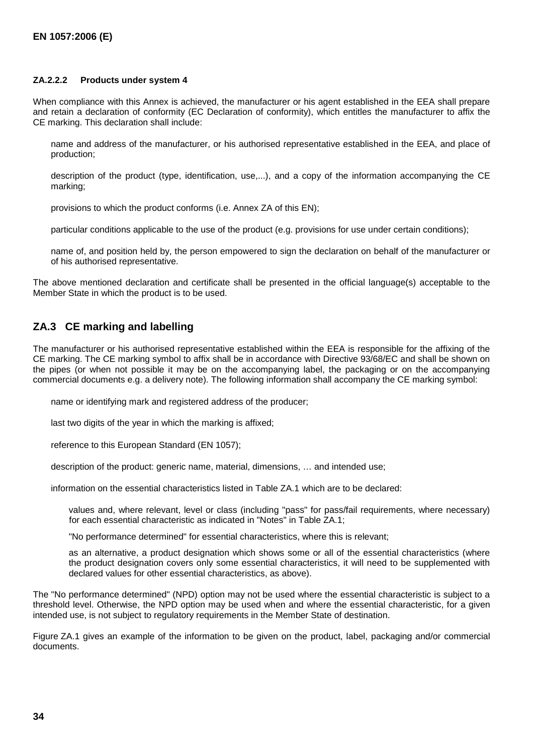#### **ZA.2.2.2 Products under system 4**

When compliance with this Annex is achieved, the manufacturer or his agent established in the EEA shall prepare and retain a declaration of conformity (EC Declaration of conformity), which entitles the manufacturer to affix the CE marking. This declaration shall include:

- name and address of the manufacturer, or his authorised representative established in the EEA, and place of production;
- description of the product (type, identification, use,...), and a copy of the information accompanying the CE marking;
- provisions to which the product conforms (i.e. Annex ZA of this EN);
- particular conditions applicable to the use of the product (e.g. provisions for use under certain conditions);
- name of, and position held by, the person empowered to sign the declaration on behalf of the manufacturer or of his authorised representative.

The above mentioned declaration and certificate shall be presented in the official language(s) acceptable to the Member State in which the product is to be used.

## **ZA.3 CE marking and labelling**

The manufacturer or his authorised representative established within the EEA is responsible for the affixing of the CE marking. The CE marking symbol to affix shall be in accordance with Directive 93/68/EC and shall be shown on the pipes (or when not possible it may be on the accompanying label, the packaging or on the accompanying commercial documents e.g. a delivery note). The following information shall accompany the CE marking symbol:

- name or identifying mark and registered address of the producer;
- last two digits of the year in which the marking is affixed;
- reference to this European Standard (EN 1057);
- description of the product: generic name, material, dimensions, … and intended use;
- information on the essential characteristics listed in Table ZA.1 which are to be declared:
	- values and, where relevant, level or class (including "pass" for pass/fail requirements, where necessary) for each essential characteristic as indicated in "Notes" in Table ZA.1;
	- "No performance determined" for essential characteristics, where this is relevant;
	- as an alternative, a product designation which shows some or all of the essential characteristics (where the product designation covers only some essential characteristics, it will need to be supplemented with declared values for other essential characteristics, as above).

The "No performance determined" (NPD) option may not be used where the essential characteristic is subject to a threshold level. Otherwise, the NPD option may be used when and where the essential characteristic, for a given intended use, is not subject to regulatory requirements in the Member State of destination.

Figure ZA.1 gives an example of the information to be given on the product, label, packaging and/or commercial documents.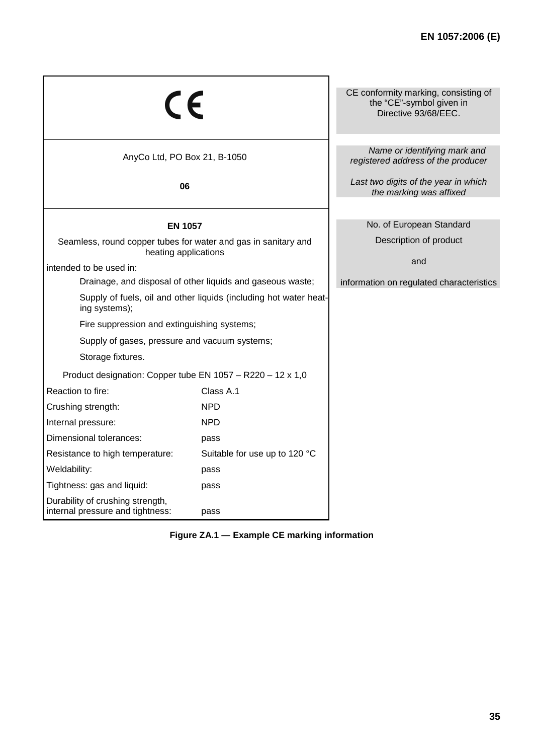| CE                                                                                     |                               | CE conformity marking, consisting of<br>the "CE"-symbol given in<br>Directive 93/68/EEC. |
|----------------------------------------------------------------------------------------|-------------------------------|------------------------------------------------------------------------------------------|
| AnyCo Ltd, PO Box 21, B-1050                                                           |                               | Name or identifying mark and<br>registered address of the producer                       |
| 06                                                                                     |                               | Last two digits of the year in which<br>the marking was affixed                          |
| <b>EN 1057</b>                                                                         |                               | No. of European Standard                                                                 |
| Seamless, round copper tubes for water and gas in sanitary and<br>heating applications |                               | Description of product                                                                   |
| intended to be used in:                                                                |                               | and                                                                                      |
| Drainage, and disposal of other liquids and gaseous waste;                             |                               | information on regulated characteristics                                                 |
| Supply of fuels, oil and other liquids (including hot water heat-<br>ing systems);     |                               |                                                                                          |
| Fire suppression and extinguishing systems;                                            |                               |                                                                                          |
| Supply of gases, pressure and vacuum systems;                                          |                               |                                                                                          |
| Storage fixtures.                                                                      |                               |                                                                                          |
| Product designation: Copper tube EN 1057 - R220 - 12 x 1,0                             |                               |                                                                                          |
| Reaction to fire:                                                                      | Class A.1                     |                                                                                          |
| Crushing strength:                                                                     | <b>NPD</b>                    |                                                                                          |
| Internal pressure:                                                                     | <b>NPD</b>                    |                                                                                          |
| Dimensional tolerances:                                                                | pass                          |                                                                                          |
| Resistance to high temperature:                                                        | Suitable for use up to 120 °C |                                                                                          |
| Weldability:                                                                           | pass                          |                                                                                          |
| Tightness: gas and liquid:                                                             | pass                          |                                                                                          |
| Durability of crushing strength,<br>internal pressure and tightness:                   | pass                          |                                                                                          |

**Figure ZA.1 — Example CE marking information**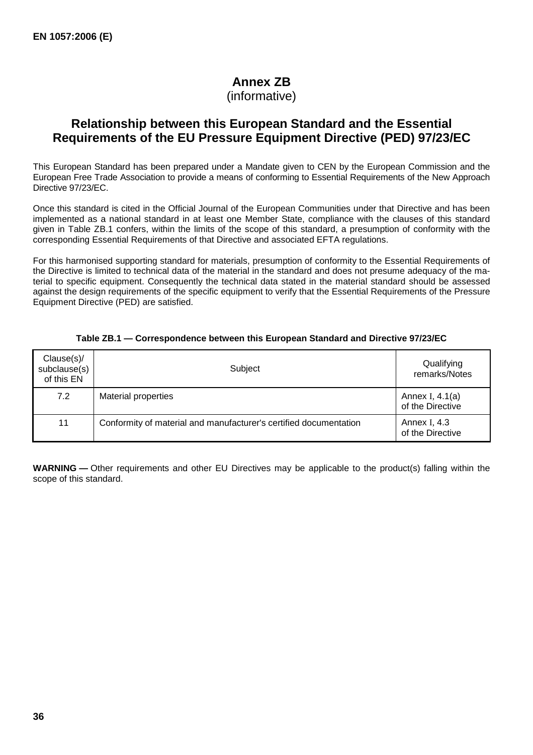## **Annex ZB**

(informative)

## **Relationship between this European Standard and the Essential Requirements of the EU Pressure Equipment Directive (PED) 97/23/EC**

This European Standard has been prepared under a Mandate given to CEN by the European Commission and the European Free Trade Association to provide a means of conforming to Essential Requirements of the New Approach Directive 97/23/EC.

Once this standard is cited in the Official Journal of the European Communities under that Directive and has been implemented as a national standard in at least one Member State, compliance with the clauses of this standard given in Table ZB.1 confers, within the limits of the scope of this standard, a presumption of conformity with the corresponding Essential Requirements of that Directive and associated EFTA regulations.

For this harmonised supporting standard for materials, presumption of conformity to the Essential Requirements of the Directive is limited to technical data of the material in the standard and does not presume adequacy of the material to specific equipment. Consequently the technical data stated in the material standard should be assessed against the design requirements of the specific equipment to verify that the Essential Requirements of the Pressure Equipment Directive (PED) are satisfied.

| Clause(s)/<br>subclause(s)<br>of this EN | Subject                                                           | Qualifying<br>remarks/Notes           |
|------------------------------------------|-------------------------------------------------------------------|---------------------------------------|
| 7.2                                      | Material properties                                               | Annex I, $4.1(a)$<br>of the Directive |
| 11                                       | Conformity of material and manufacturer's certified documentation | Annex I, 4.3<br>of the Directive      |

#### **Table ZB.1 — Correspondence between this European Standard and Directive 97/23/EC**

**WARNING —** Other requirements and other EU Directives may be applicable to the product(s) falling within the scope of this standard.